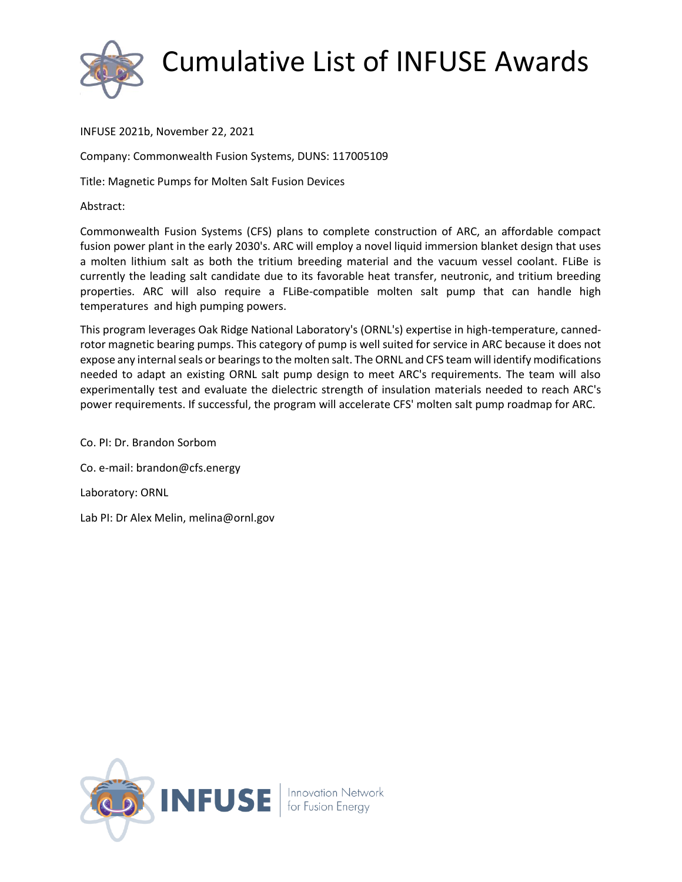

INFUSE 2021b, November 22, 2021

Company: Commonwealth Fusion Systems, DUNS: 117005109

Title: Magnetic Pumps for Molten Salt Fusion Devices

Abstract:

Commonwealth Fusion Systems (CFS) plans to complete construction of ARC, an affordable compact fusion power plant in the early 2030's. ARC will employ a novel liquid immersion blanket design that uses a molten lithium salt as both the tritium breeding material and the vacuum vessel coolant. FLiBe is currently the leading salt candidate due to its favorable heat transfer, neutronic, and tritium breeding properties. ARC will also require a FLiBe-compatible molten salt pump that can handle high temperatures and high pumping powers.

This program leverages Oak Ridge National Laboratory's (ORNL's) expertise in high-temperature, cannedrotor magnetic bearing pumps. This category of pump is well suited for service in ARC because it does not expose any internal seals or bearings to the molten salt. The ORNL and CFS team will identify modifications needed to adapt an existing ORNL salt pump design to meet ARC's requirements. The team will also experimentally test and evaluate the dielectric strength of insulation materials needed to reach ARC's power requirements. If successful, the program will accelerate CFS' molten salt pump roadmap for ARC.

Co. PI: Dr. Brandon Sorbom Co. e-mail: brandon@cfs.energy Laboratory: ORNL Lab PI: Dr Alex Melin, melina@ornl.gov

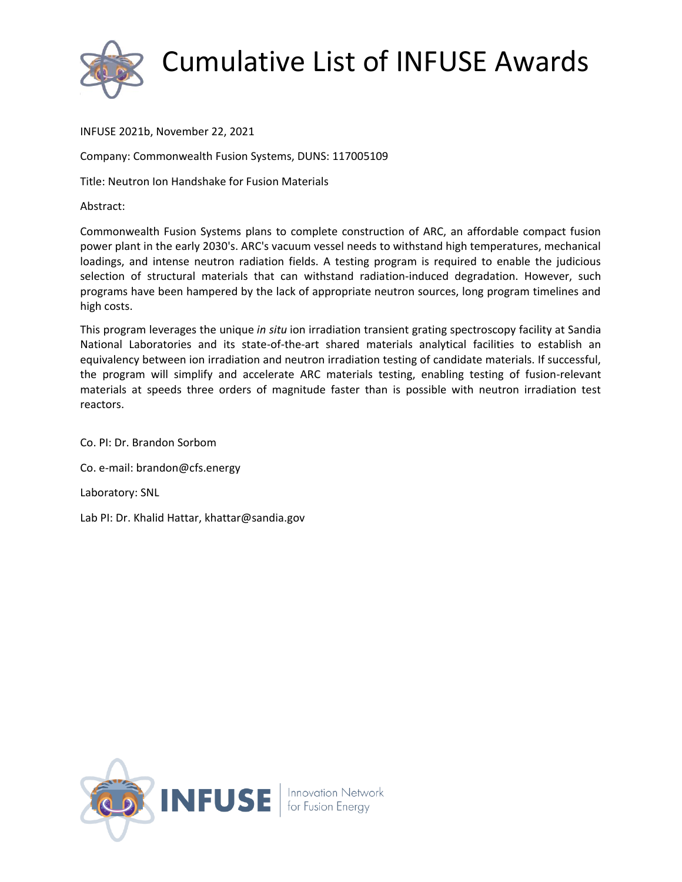

INFUSE 2021b, November 22, 2021

Company: Commonwealth Fusion Systems, DUNS: 117005109

Title: Neutron Ion Handshake for Fusion Materials

Abstract:

Commonwealth Fusion Systems plans to complete construction of ARC, an affordable compact fusion power plant in the early 2030's. ARC's vacuum vessel needs to withstand high temperatures, mechanical loadings, and intense neutron radiation fields. A testing program is required to enable the judicious selection of structural materials that can withstand radiation-induced degradation. However, such programs have been hampered by the lack of appropriate neutron sources, long program timelines and high costs.

This program leverages the unique *in situ* ion irradiation transient grating spectroscopy facility at Sandia National Laboratories and its state-of-the-art shared materials analytical facilities to establish an equivalency between ion irradiation and neutron irradiation testing of candidate materials. If successful, the program will simplify and accelerate ARC materials testing, enabling testing of fusion-relevant materials at speeds three orders of magnitude faster than is possible with neutron irradiation test reactors.

Co. PI: Dr. Brandon Sorbom Co. e-mail: brandon@cfs.energy Laboratory: SNL Lab PI: Dr. Khalid Hattar, khattar@sandia.gov

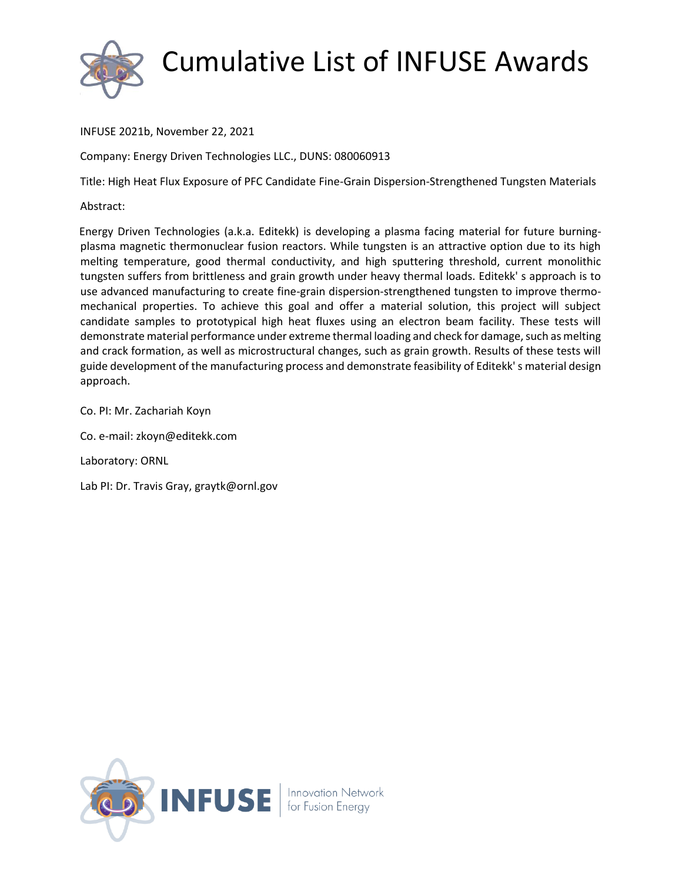

INFUSE 2021b, November 22, 2021

Company: Energy Driven Technologies LLC., DUNS: 080060913

Title: High Heat Flux Exposure of PFC Candidate Fine-Grain Dispersion-Strengthened Tungsten Materials

Abstract:

Energy Driven Technologies (a.k.a. Editekk) is developing a plasma facing material for future burningplasma magnetic thermonuclear fusion reactors. While tungsten is an attractive option due to its high melting temperature, good thermal conductivity, and high sputtering threshold, current monolithic tungsten suffers from brittleness and grain growth under heavy thermal loads. Editekk' s approach is to use advanced manufacturing to create fine-grain dispersion-strengthened tungsten to improve thermomechanical properties. To achieve this goal and offer a material solution, this project will subject candidate samples to prototypical high heat fluxes using an electron beam facility. These tests will demonstrate material performance under extreme thermal loading and check for damage, such as melting and crack formation, as well as microstructural changes, such as grain growth. Results of these tests will guide development of the manufacturing process and demonstrate feasibility of Editekk' s material design approach.

Co. PI: Mr. Zachariah Koyn

Co. e-mail: zkoyn@editekk.com

Laboratory: ORNL

Lab PI: Dr. Travis Gray, graytk@ornl.gov

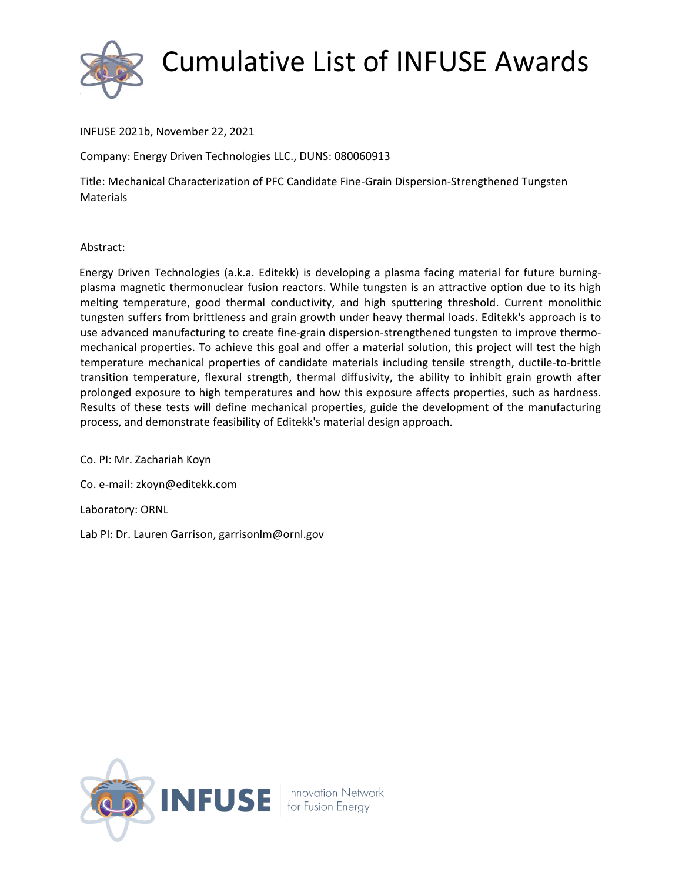

INFUSE 2021b, November 22, 2021

Company: Energy Driven Technologies LLC., DUNS: 080060913

Title: Mechanical Characterization of PFC Candidate Fine-Grain Dispersion-Strengthened Tungsten **Materials** 

Abstract:

Energy Driven Technologies (a.k.a. Editekk) is developing a plasma facing material for future burningplasma magnetic thermonuclear fusion reactors. While tungsten is an attractive option due to its high melting temperature, good thermal conductivity, and high sputtering threshold. Current monolithic tungsten suffers from brittleness and grain growth under heavy thermal loads. Editekk's approach is to use advanced manufacturing to create fine-grain dispersion-strengthened tungsten to improve thermomechanical properties. To achieve this goal and offer a material solution, this project will test the high temperature mechanical properties of candidate materials including tensile strength, ductile-to-brittle transition temperature, flexural strength, thermal diffusivity, the ability to inhibit grain growth after prolonged exposure to high temperatures and how this exposure affects properties, such as hardness. Results of these tests will define mechanical properties, guide the development of the manufacturing process, and demonstrate feasibility of Editekk's material design approach.

Co. PI: Mr. Zachariah Koyn

Co. e-mail: zkoyn@editekk.com

Laboratory: ORNL

Lab PI: Dr. Lauren Garrison, garrisonlm@ornl.gov

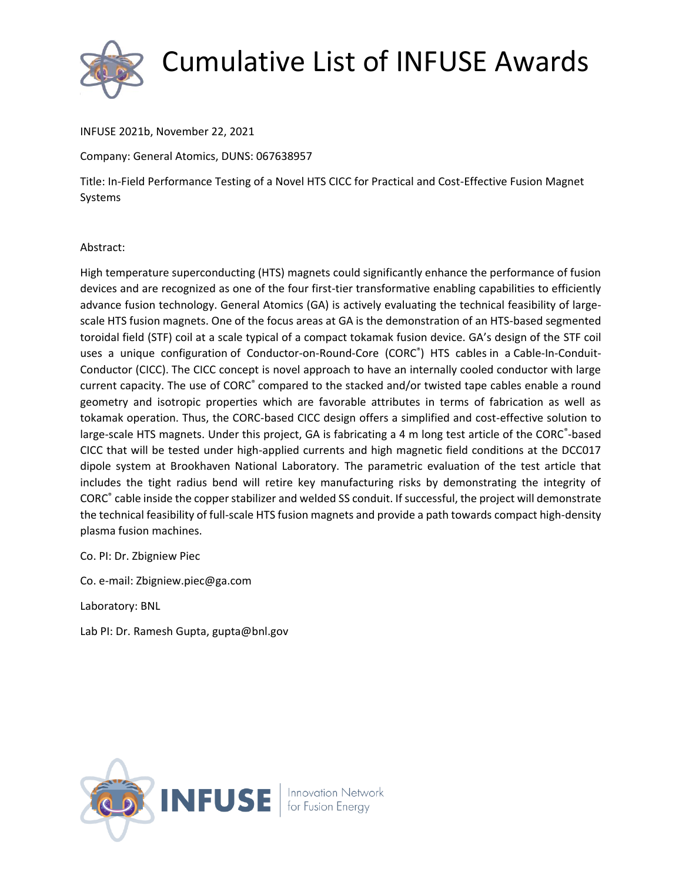

INFUSE 2021b, November 22, 2021

Company: General Atomics, DUNS: 067638957

Title: In-Field Performance Testing of a Novel HTS CICC for Practical and Cost-Effective Fusion Magnet Systems

#### Abstract:

High temperature superconducting (HTS) magnets could significantly enhance the performance of fusion devices and are recognized as one of the four first-tier transformative enabling capabilities to efficiently advance fusion technology. General Atomics (GA) is actively evaluating the technical feasibility of largescale HTS fusion magnets. One of the focus areas at GA is the demonstration of an HTS-based segmented toroidal field (STF) coil at a scale typical of a compact tokamak fusion device. GA's design of the STF coil uses a unique configuration of Conductor-on-Round-Core (CORC<sup>®</sup>) HTS cables in a Cable-In-Conduit-Conductor (CICC). The CICC concept is novel approach to have an internally cooled conductor with large current capacity. The use of CORC<sup>®</sup> compared to the stacked and/or twisted tape cables enable a round geometry and isotropic properties which are favorable attributes in terms of fabrication as well as tokamak operation. Thus, the CORC-based CICC design offers a simplified and cost-effective solution to large-scale HTS magnets. Under this project, GA is fabricating a 4 m long test article of the CORC®-based CICC that will be tested under high-applied currents and high magnetic field conditions at the DCC017 dipole system at Brookhaven National Laboratory. The parametric evaluation of the test article that includes the tight radius bend will retire key manufacturing risks by demonstrating the integrity of CORC® cable inside the copper stabilizer and welded SS conduit. If successful, the project will demonstrate the technical feasibility of full-scale HTS fusion magnets and provide a path towards compact high-density plasma fusion machines.

Co. PI: Dr. Zbigniew Piec

Co. e-mail: Zbigniew.piec@ga.com

Laboratory: BNL

Lab PI: Dr. Ramesh Gupta, gupta@bnl.gov

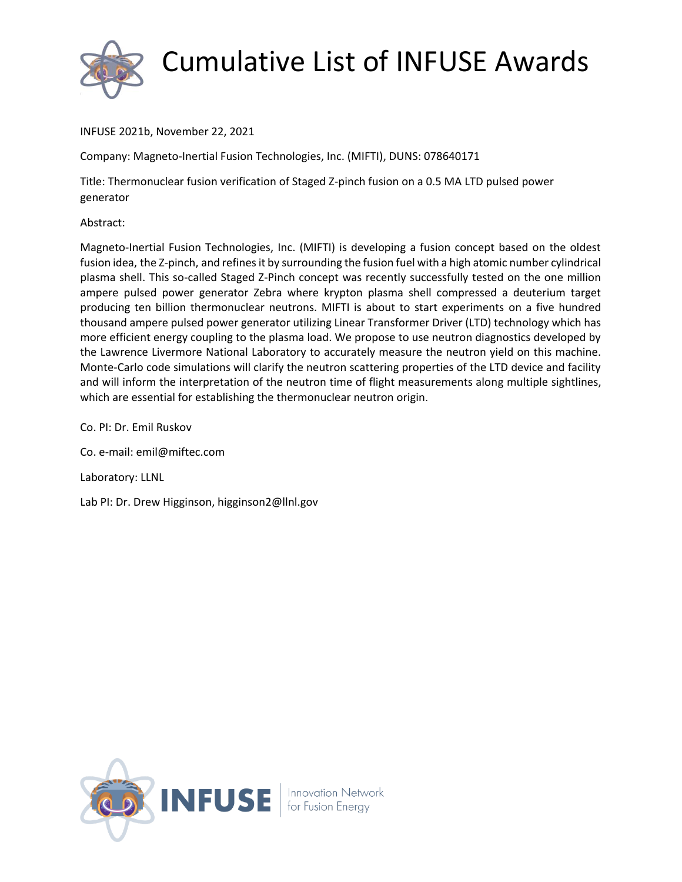

INFUSE 2021b, November 22, 2021

Company: Magneto-Inertial Fusion Technologies, Inc. (MIFTI), DUNS: 078640171

Title: Thermonuclear fusion verification of Staged Z-pinch fusion on a 0.5 MA LTD pulsed power generator

Abstract:

Magneto-Inertial Fusion Technologies, Inc. (MIFTI) is developing a fusion concept based on the oldest fusion idea, the Z-pinch, and refines it by surrounding the fusion fuel with a high atomic number cylindrical plasma shell. This so-called Staged Z-Pinch concept was recently successfully tested on the one million ampere pulsed power generator Zebra where krypton plasma shell compressed a deuterium target producing ten billion thermonuclear neutrons. MIFTI is about to start experiments on a five hundred thousand ampere pulsed power generator utilizing Linear Transformer Driver (LTD) technology which has more efficient energy coupling to the plasma load. We propose to use neutron diagnostics developed by the Lawrence Livermore National Laboratory to accurately measure the neutron yield on this machine. Monte-Carlo code simulations will clarify the neutron scattering properties of the LTD device and facility and will inform the interpretation of the neutron time of flight measurements along multiple sightlines, which are essential for establishing the thermonuclear neutron origin.

Co. PI: Dr. Emil Ruskov

Co. e-mail: emil@miftec.com

Laboratory: LLNL

Lab PI: Dr. Drew Higginson, higginson2@llnl.gov

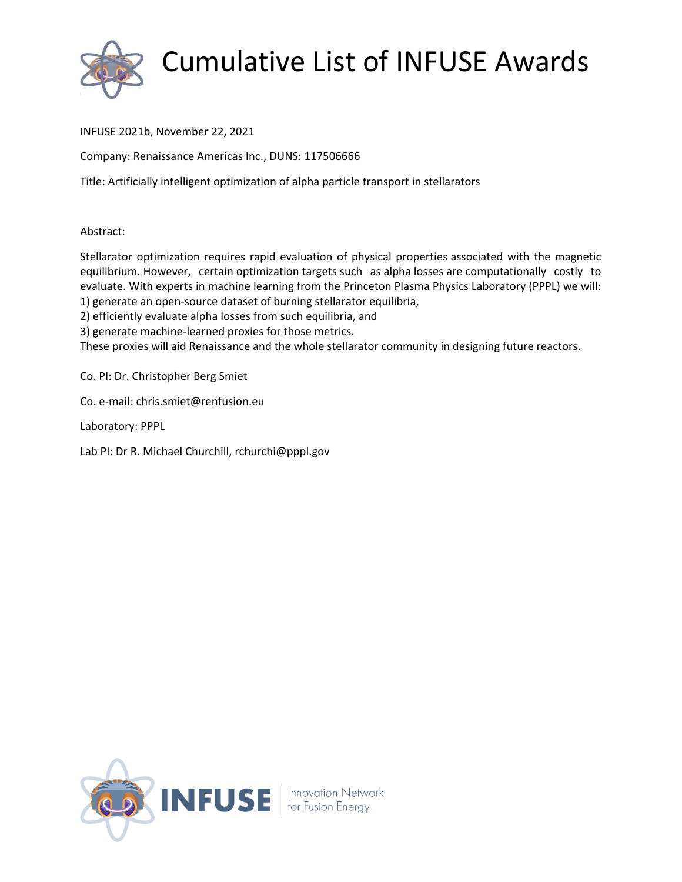

#### INFUSE 2021b, November 22, 2021

Company: Renaissance Americas Inc., DUNS: 117506666

Title: Artificially intelligent optimization of alpha particle transport in stellarators

#### Abstract:

Stellarator optimization requires rapid evaluation of physical properties associated with the magnetic equilibrium. However, certain optimization targets such as alpha losses are computationally costly to evaluate. With experts in machine learning from the Princeton Plasma Physics Laboratory (PPPL) we will: 1) generate an open-source dataset of burning stellarator equilibria,

2) efficiently evaluate alpha losses from such equilibria, and

3) generate machine-learned proxies for those metrics.

These proxies will aid Renaissance and the whole stellarator community in designing future reactors.

Co. PI: Dr. Christopher Berg Smiet

Co. e-mail: chris.smiet@renfusion.eu

Laboratory: PPPL

Lab PI: Dr R. Michael Churchill, rchurchi@pppl.gov

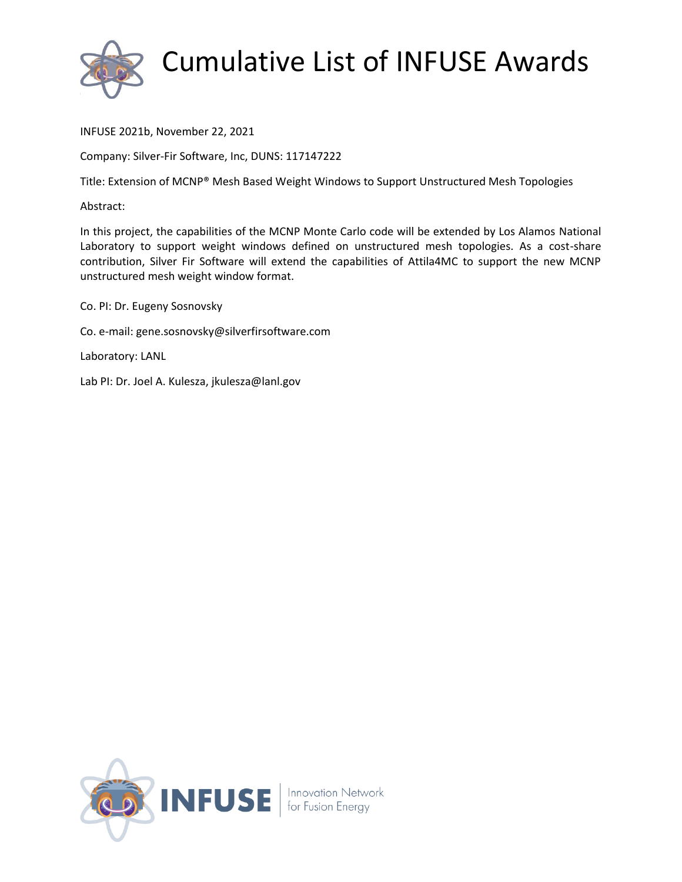

INFUSE 2021b, November 22, 2021

Company: Silver-Fir Software, Inc, DUNS: 117147222

Title: Extension of MCNP® Mesh Based Weight Windows to Support Unstructured Mesh Topologies

Abstract:

In this project, the capabilities of the MCNP Monte Carlo code will be extended by Los Alamos National Laboratory to support weight windows defined on unstructured mesh topologies. As a cost-share contribution, Silver Fir Software will extend the capabilities of Attila4MC to support the new MCNP unstructured mesh weight window format.

Co. PI: Dr. Eugeny Sosnovsky

Co. e-mail: gene.sosnovsky@silverfirsoftware.com

Laboratory: LANL

Lab PI: Dr. Joel A. Kulesza, jkulesza@lanl.gov

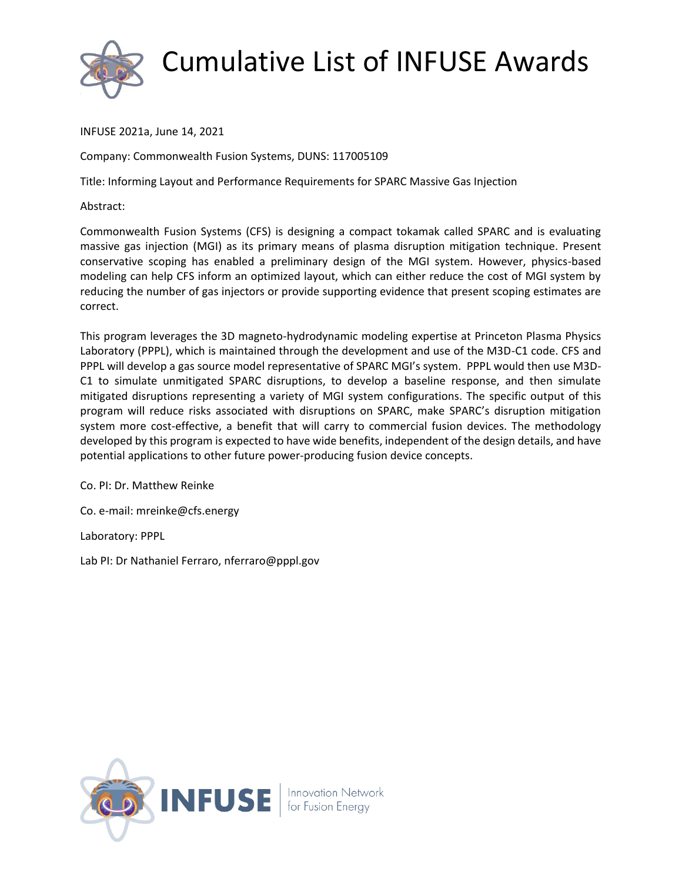

INFUSE 2021a, June 14, 2021

Company: Commonwealth Fusion Systems, DUNS: 117005109

Title: Informing Layout and Performance Requirements for SPARC Massive Gas Injection

Abstract:

Commonwealth Fusion Systems (CFS) is designing a compact tokamak called SPARC and is evaluating massive gas injection (MGI) as its primary means of plasma disruption mitigation technique. Present conservative scoping has enabled a preliminary design of the MGI system. However, physics-based modeling can help CFS inform an optimized layout, which can either reduce the cost of MGI system by reducing the number of gas injectors or provide supporting evidence that present scoping estimates are correct.

This program leverages the 3D magneto-hydrodynamic modeling expertise at Princeton Plasma Physics Laboratory (PPPL), which is maintained through the development and use of the M3D-C1 code. CFS and PPPL will develop a gas source model representative of SPARC MGI's system. PPPL would then use M3D-C1 to simulate unmitigated SPARC disruptions, to develop a baseline response, and then simulate mitigated disruptions representing a variety of MGI system configurations. The specific output of this program will reduce risks associated with disruptions on SPARC, make SPARC's disruption mitigation system more cost-effective, a benefit that will carry to commercial fusion devices. The methodology developed by this program is expected to have wide benefits, independent of the design details, and have potential applications to other future power-producing fusion device concepts.

Co. PI: Dr. Matthew Reinke

Co. e-mail: mreinke@cfs.energy

Laboratory: PPPL

Lab PI: Dr Nathaniel Ferraro, nferraro@pppl.gov

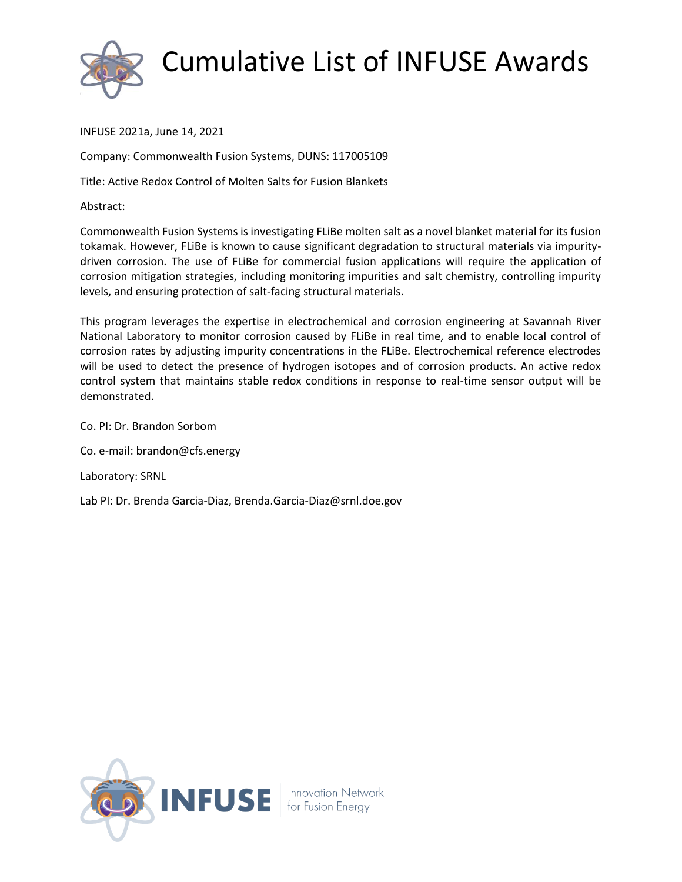

INFUSE 2021a, June 14, 2021

Company: Commonwealth Fusion Systems, DUNS: 117005109

Title: Active Redox Control of Molten Salts for Fusion Blankets

Abstract:

Commonwealth Fusion Systems is investigating FLiBe molten salt as a novel blanket material for its fusion tokamak. However, FLiBe is known to cause significant degradation to structural materials via impuritydriven corrosion. The use of FLiBe for commercial fusion applications will require the application of corrosion mitigation strategies, including monitoring impurities and salt chemistry, controlling impurity levels, and ensuring protection of salt-facing structural materials.

This program leverages the expertise in electrochemical and corrosion engineering at Savannah River National Laboratory to monitor corrosion caused by FLiBe in real time, and to enable local control of corrosion rates by adjusting impurity concentrations in the FLiBe. Electrochemical reference electrodes will be used to detect the presence of hydrogen isotopes and of corrosion products. An active redox control system that maintains stable redox conditions in response to real-time sensor output will be demonstrated.

Co. PI: Dr. Brandon Sorbom

Co. e-mail: brandon@cfs.energy

Laboratory: SRNL

Lab PI: Dr. Brenda Garcia-Diaz, Brenda.Garcia-Diaz@srnl.doe.gov

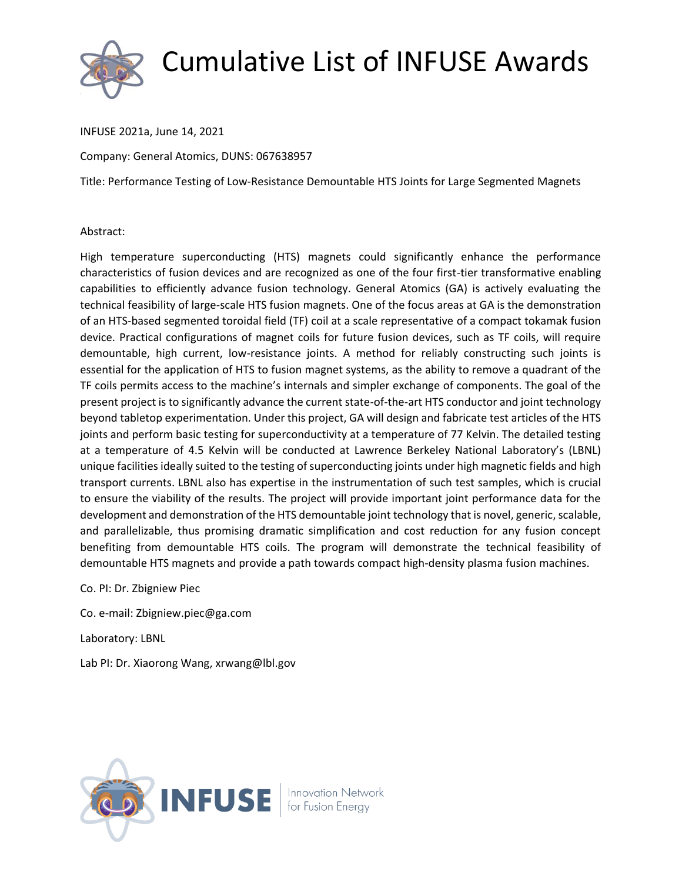

INFUSE 2021a, June 14, 2021

Company: General Atomics, DUNS: 067638957

Title: Performance Testing of Low-Resistance Demountable HTS Joints for Large Segmented Magnets

#### Abstract:

High temperature superconducting (HTS) magnets could significantly enhance the performance characteristics of fusion devices and are recognized as one of the four first-tier transformative enabling capabilities to efficiently advance fusion technology. General Atomics (GA) is actively evaluating the technical feasibility of large-scale HTS fusion magnets. One of the focus areas at GA is the demonstration of an HTS-based segmented toroidal field (TF) coil at a scale representative of a compact tokamak fusion device. Practical configurations of magnet coils for future fusion devices, such as TF coils, will require demountable, high current, low-resistance joints. A method for reliably constructing such joints is essential for the application of HTS to fusion magnet systems, as the ability to remove a quadrant of the TF coils permits access to the machine's internals and simpler exchange of components. The goal of the present project is to significantly advance the current state-of-the-art HTS conductor and joint technology beyond tabletop experimentation. Under this project, GA will design and fabricate test articles of the HTS joints and perform basic testing for superconductivity at a temperature of 77 Kelvin. The detailed testing at a temperature of 4.5 Kelvin will be conducted at Lawrence Berkeley National Laboratory's (LBNL) unique facilities ideally suited to the testing of superconducting joints under high magnetic fields and high transport currents. LBNL also has expertise in the instrumentation of such test samples, which is crucial to ensure the viability of the results. The project will provide important joint performance data for the development and demonstration of the HTS demountable joint technology that is novel, generic, scalable, and parallelizable, thus promising dramatic simplification and cost reduction for any fusion concept benefiting from demountable HTS coils. The program will demonstrate the technical feasibility of demountable HTS magnets and provide a path towards compact high-density plasma fusion machines.

Co. PI: Dr. Zbigniew Piec

Co. e-mail: Zbigniew.piec@ga.com

Laboratory: LBNL

Lab PI: Dr. Xiaorong Wang, xrwang@lbl.gov

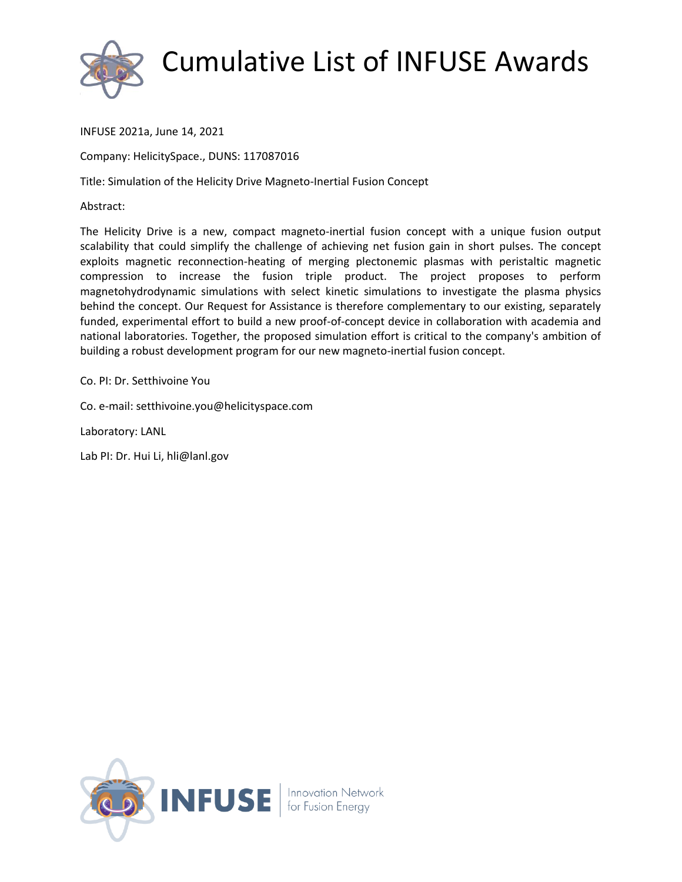

INFUSE 2021a, June 14, 2021

Company: HelicitySpace., DUNS: 117087016

Title: Simulation of the Helicity Drive Magneto-Inertial Fusion Concept

Abstract:

The Helicity Drive is a new, compact magneto-inertial fusion concept with a unique fusion output scalability that could simplify the challenge of achieving net fusion gain in short pulses. The concept exploits magnetic reconnection-heating of merging plectonemic plasmas with peristaltic magnetic compression to increase the fusion triple product. The project proposes to perform magnetohydrodynamic simulations with select kinetic simulations to investigate the plasma physics behind the concept. Our Request for Assistance is therefore complementary to our existing, separately funded, experimental effort to build a new proof-of-concept device in collaboration with academia and national laboratories. Together, the proposed simulation effort is critical to the company's ambition of building a robust development program for our new magneto-inertial fusion concept.

Co. PI: Dr. Setthivoine You

Co. e-mail: setthivoine.you@helicityspace.com

Laboratory: LANL

Lab PI: Dr. Hui Li, hli@lanl.gov

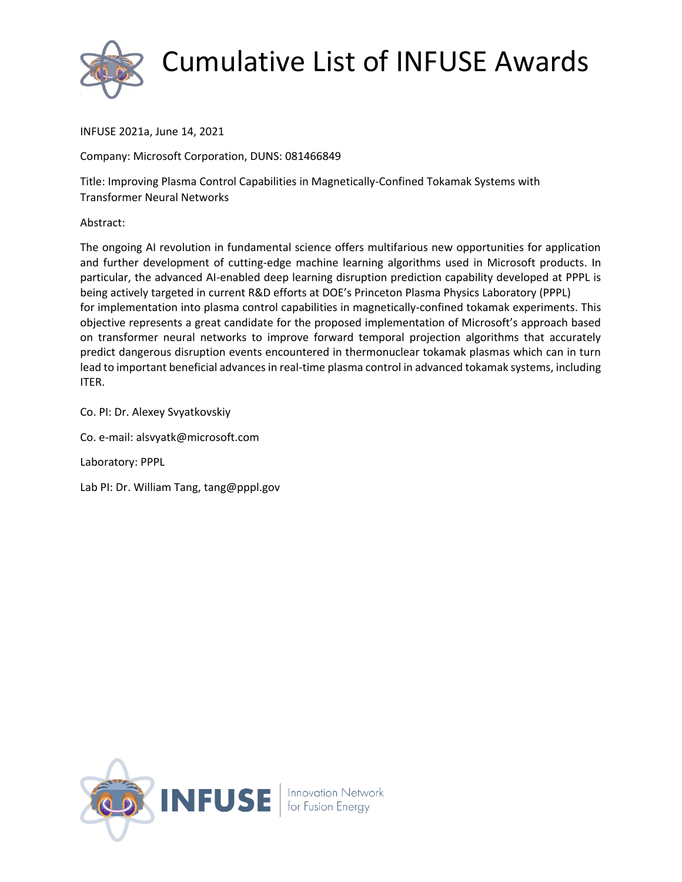

INFUSE 2021a, June 14, 2021

Company: Microsoft Corporation, DUNS: 081466849

Title: Improving Plasma Control Capabilities in Magnetically-Confined Tokamak Systems with Transformer Neural Networks

Abstract:

The ongoing AI revolution in fundamental science offers multifarious new opportunities for application and further development of cutting-edge machine learning algorithms used in Microsoft products. In particular, the advanced AI-enabled deep learning disruption prediction capability developed at PPPL is being actively targeted in current R&D efforts at DOE's Princeton Plasma Physics Laboratory (PPPL) for implementation into plasma control capabilities in magnetically-confined tokamak experiments. This objective represents a great candidate for the proposed implementation of Microsoft's approach based on transformer neural networks to improve forward temporal projection algorithms that accurately predict dangerous disruption events encountered in thermonuclear tokamak plasmas which can in turn lead to important beneficial advances in real-time plasma control in advanced tokamak systems, including ITER.

Co. PI: Dr. Alexey Svyatkovskiy

Co. e-mail: alsvyatk@microsoft.com

Laboratory: PPPL

Lab PI: Dr. William Tang, tang@pppl.gov

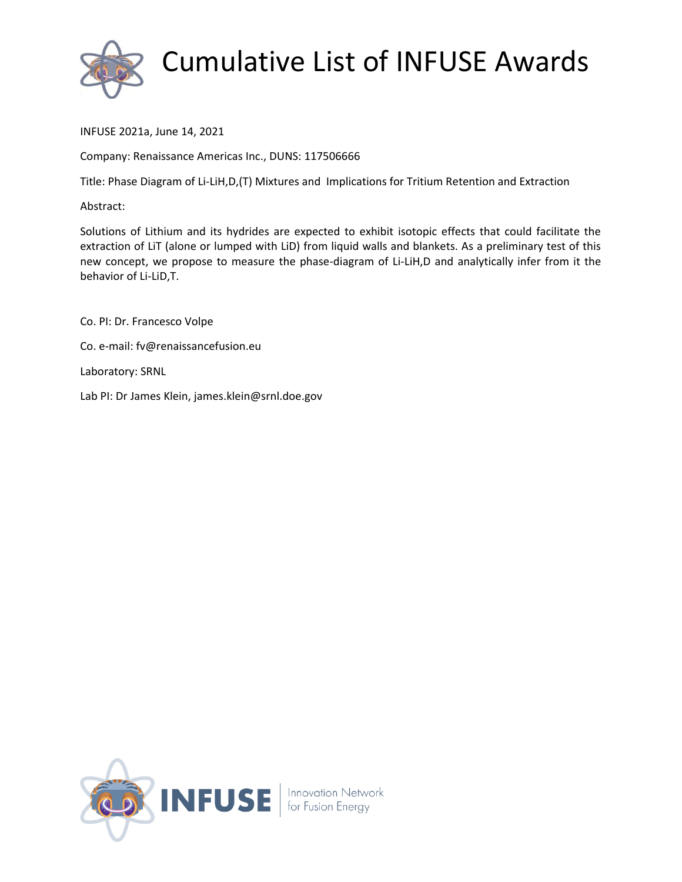

INFUSE 2021a, June 14, 2021

Company: Renaissance Americas Inc., DUNS: 117506666

Title: Phase Diagram of Li-LiH,D,(T) Mixtures and Implications for Tritium Retention and Extraction

#### Abstract:

Solutions of Lithium and its hydrides are expected to exhibit isotopic effects that could facilitate the extraction of LiT (alone or lumped with LiD) from liquid walls and blankets. As a preliminary test of this new concept, we propose to measure the phase-diagram of Li-LiH,D and analytically infer from it the behavior of Li-LiD,T.

Co. PI: Dr. Francesco Volpe Co. e-mail: fv@renaissancefusion.eu Laboratory: SRNL Lab PI: Dr James Klein, james.klein@srnl.doe.gov

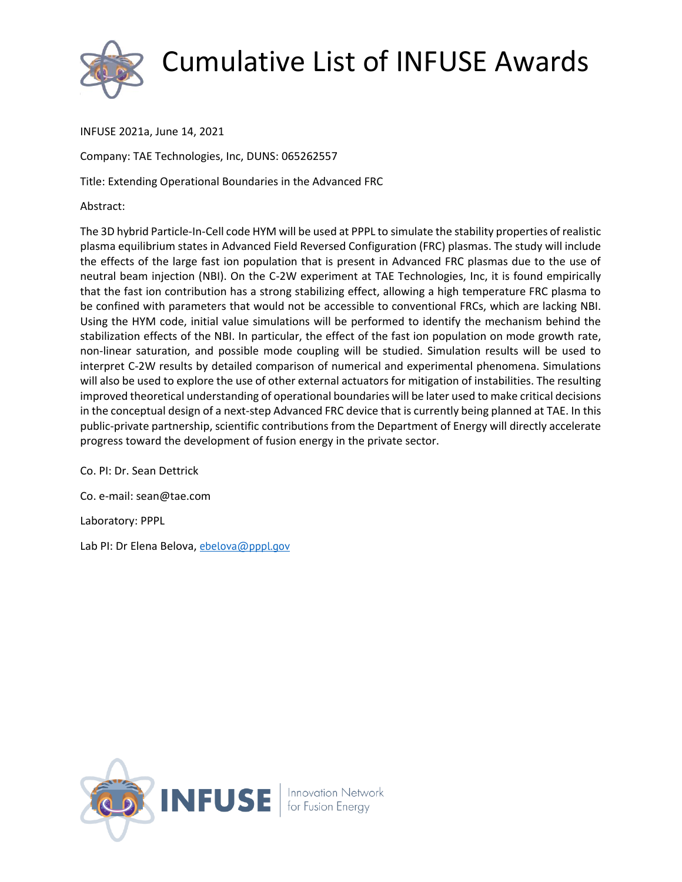

INFUSE 2021a, June 14, 2021

Company: TAE Technologies, Inc, DUNS: 065262557

Title: Extending Operational Boundaries in the Advanced FRC

Abstract:

The 3D hybrid Particle-In-Cell code HYM will be used at PPPL to simulate the stability properties of realistic plasma equilibrium states in Advanced Field Reversed Configuration (FRC) plasmas. The study will include the effects of the large fast ion population that is present in Advanced FRC plasmas due to the use of neutral beam injection (NBI). On the C-2W experiment at TAE Technologies, Inc, it is found empirically that the fast ion contribution has a strong stabilizing effect, allowing a high temperature FRC plasma to be confined with parameters that would not be accessible to conventional FRCs, which are lacking NBI. Using the HYM code, initial value simulations will be performed to identify the mechanism behind the stabilization effects of the NBI. In particular, the effect of the fast ion population on mode growth rate, non-linear saturation, and possible mode coupling will be studied. Simulation results will be used to interpret C-2W results by detailed comparison of numerical and experimental phenomena. Simulations will also be used to explore the use of other external actuators for mitigation of instabilities. The resulting improved theoretical understanding of operational boundaries will be later used to make critical decisions in the conceptual design of a next-step Advanced FRC device that is currently being planned at TAE. In this public-private partnership, scientific contributions from the Department of Energy will directly accelerate progress toward the development of fusion energy in the private sector.

Co. PI: Dr. Sean Dettrick

Co. e-mail: sean@tae.com

Laboratory: PPPL

Lab PI: Dr Elena Belova, [ebelova@pppl.gov](mailto:ebelova@pppl.gov)

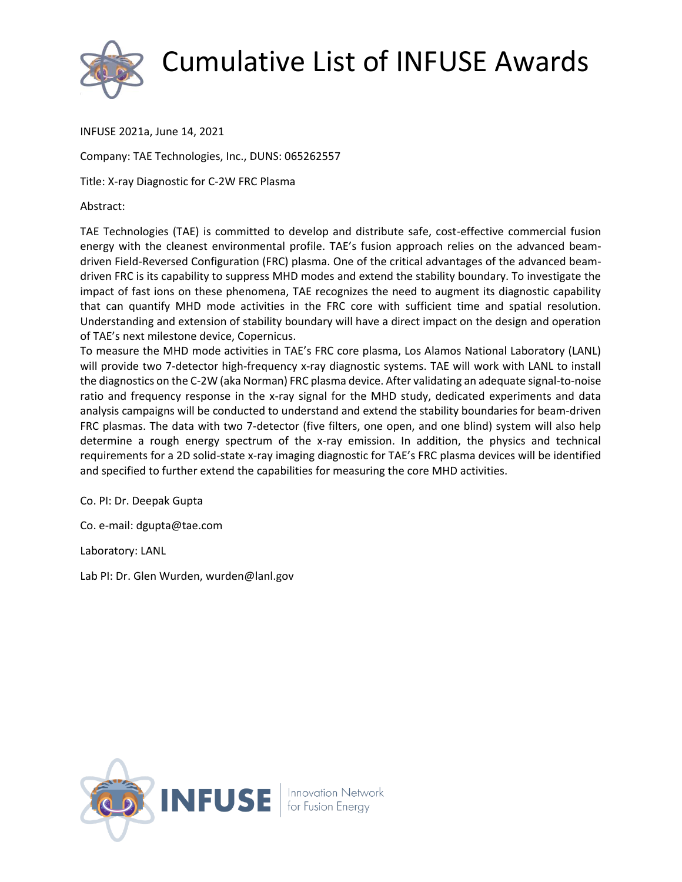

INFUSE 2021a, June 14, 2021

Company: TAE Technologies, Inc., DUNS: 065262557

Title: X-ray Diagnostic for C-2W FRC Plasma

Abstract:

TAE Technologies (TAE) is committed to develop and distribute safe, cost-effective commercial fusion energy with the cleanest environmental profile. TAE's fusion approach relies on the advanced beamdriven Field-Reversed Configuration (FRC) plasma. One of the critical advantages of the advanced beamdriven FRC is its capability to suppress MHD modes and extend the stability boundary. To investigate the impact of fast ions on these phenomena, TAE recognizes the need to augment its diagnostic capability that can quantify MHD mode activities in the FRC core with sufficient time and spatial resolution. Understanding and extension of stability boundary will have a direct impact on the design and operation of TAE's next milestone device, Copernicus.

To measure the MHD mode activities in TAE's FRC core plasma, Los Alamos National Laboratory (LANL) will provide two 7-detector high-frequency x-ray diagnostic systems. TAE will work with LANL to install the diagnostics on the C-2W (aka Norman) FRC plasma device. After validating an adequate signal-to-noise ratio and frequency response in the x-ray signal for the MHD study, dedicated experiments and data analysis campaigns will be conducted to understand and extend the stability boundaries for beam-driven FRC plasmas. The data with two 7-detector (five filters, one open, and one blind) system will also help determine a rough energy spectrum of the x-ray emission. In addition, the physics and technical requirements for a 2D solid-state x-ray imaging diagnostic for TAE's FRC plasma devices will be identified and specified to further extend the capabilities for measuring the core MHD activities.

Co. PI: Dr. Deepak Gupta

Co. e-mail: dgupta@tae.com

Laboratory: LANL

Lab PI: Dr. Glen Wurden, wurden@lanl.gov

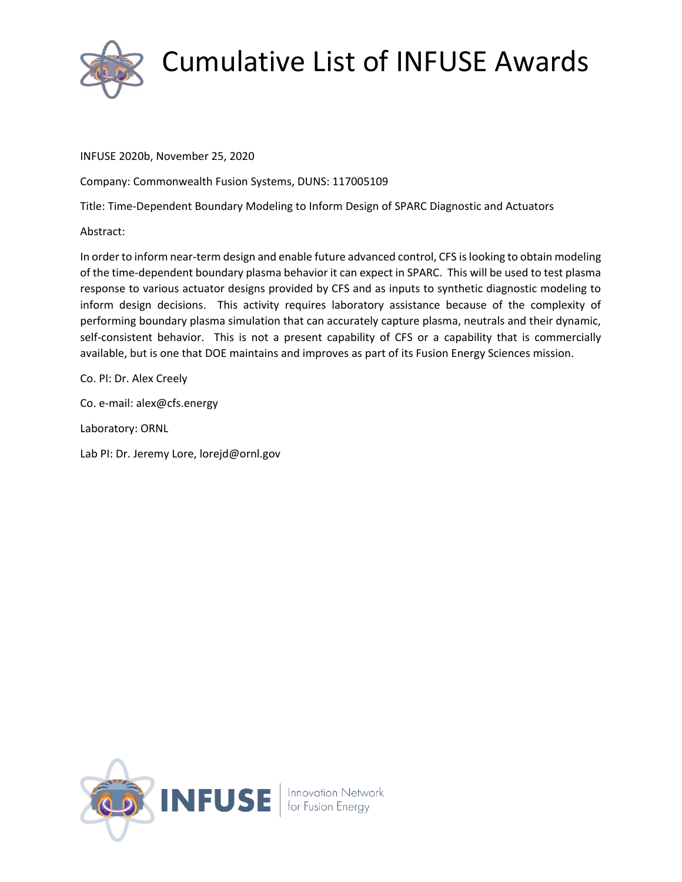

INFUSE 2020b, November 25, 2020

Company: Commonwealth Fusion Systems, DUNS: 117005109

Title: Time-Dependent Boundary Modeling to Inform Design of SPARC Diagnostic and Actuators

Abstract:

In order to inform near-term design and enable future advanced control, CFS is looking to obtain modeling of the time-dependent boundary plasma behavior it can expect in SPARC. This will be used to test plasma response to various actuator designs provided by CFS and as inputs to synthetic diagnostic modeling to inform design decisions. This activity requires laboratory assistance because of the complexity of performing boundary plasma simulation that can accurately capture plasma, neutrals and their dynamic, self-consistent behavior. This is not a present capability of CFS or a capability that is commercially available, but is one that DOE maintains and improves as part of its Fusion Energy Sciences mission.

Co. PI: Dr. Alex Creely

Co. e-mail: alex@cfs.energy

Laboratory: ORNL

Lab PI: Dr. Jeremy Lore, lorejd@ornl.gov

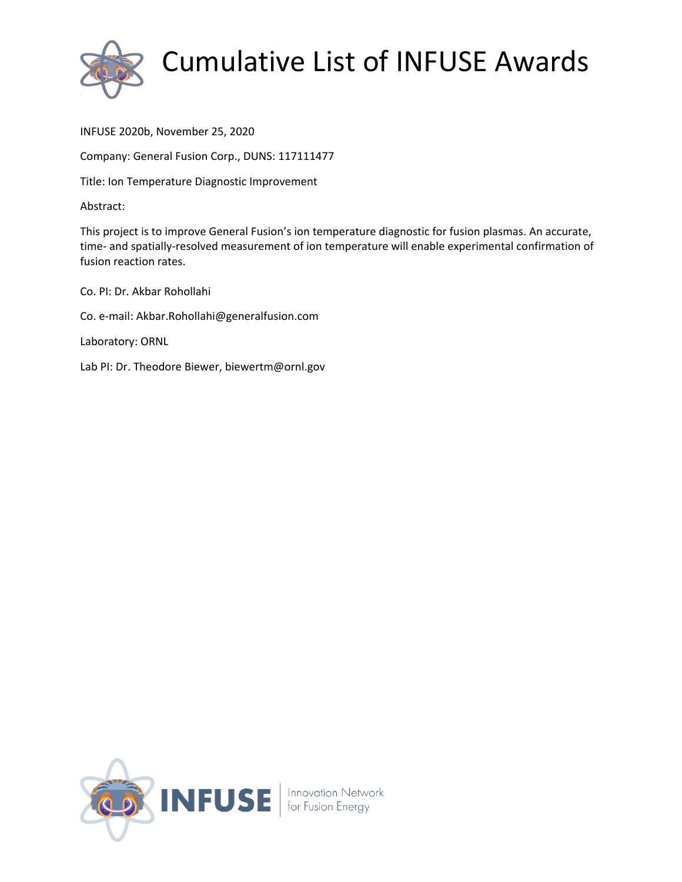

INFUSE 2020b, November 25, 2020

Company: General Fusion Corp., DUNS: 117111477

Title: Ion Temperature Diagnostic Improvement

Abstract:

This project is to improve General Fusion's ion temperature diagnostic for fusion plasmas. An accurate, time- and spatially-resolved measurement of ion temperature will enable experimental confirmation of fusion reaction rates.

Co. PI: Dr. Akbar Rohollahi Co. e-mail: Akbar.Rohollahi@generalfusion.com Laboratory: ORNL Lab PI: Dr. Theodore Biewer, biewertm@ornl.gov

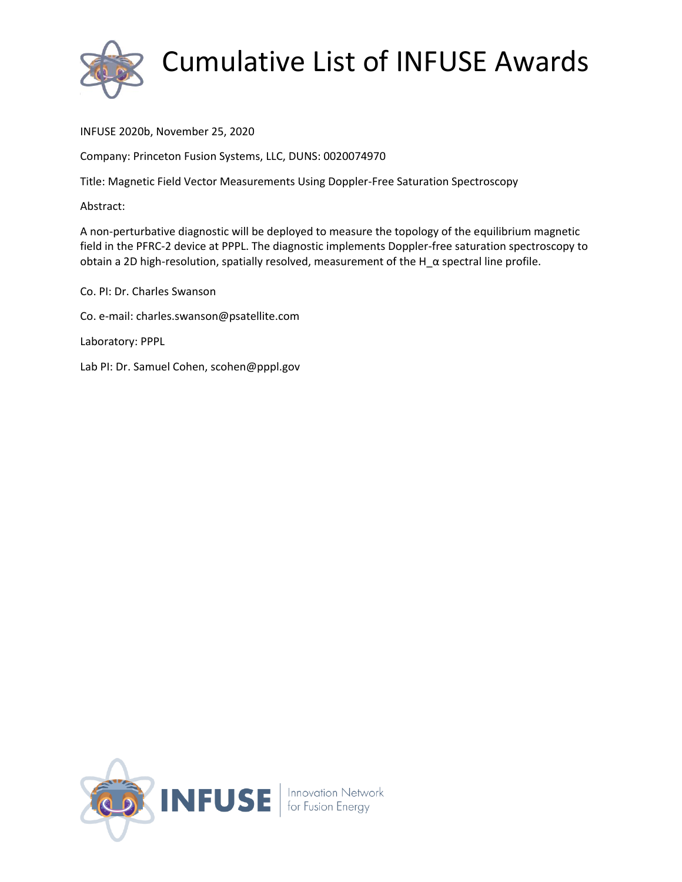

INFUSE 2020b, November 25, 2020

Company: Princeton Fusion Systems, LLC, DUNS: 0020074970

Title: Magnetic Field Vector Measurements Using Doppler-Free Saturation Spectroscopy

Abstract:

A non-perturbative diagnostic will be deployed to measure the topology of the equilibrium magnetic field in the PFRC-2 device at PPPL. The diagnostic implements Doppler-free saturation spectroscopy to obtain a 2D high-resolution, spatially resolved, measurement of the H\_α spectral line profile.

Co. PI: Dr. Charles Swanson Co. e-mail: charles.swanson@psatellite.com Laboratory: PPPL Lab PI: Dr. Samuel Cohen, scohen@pppl.gov

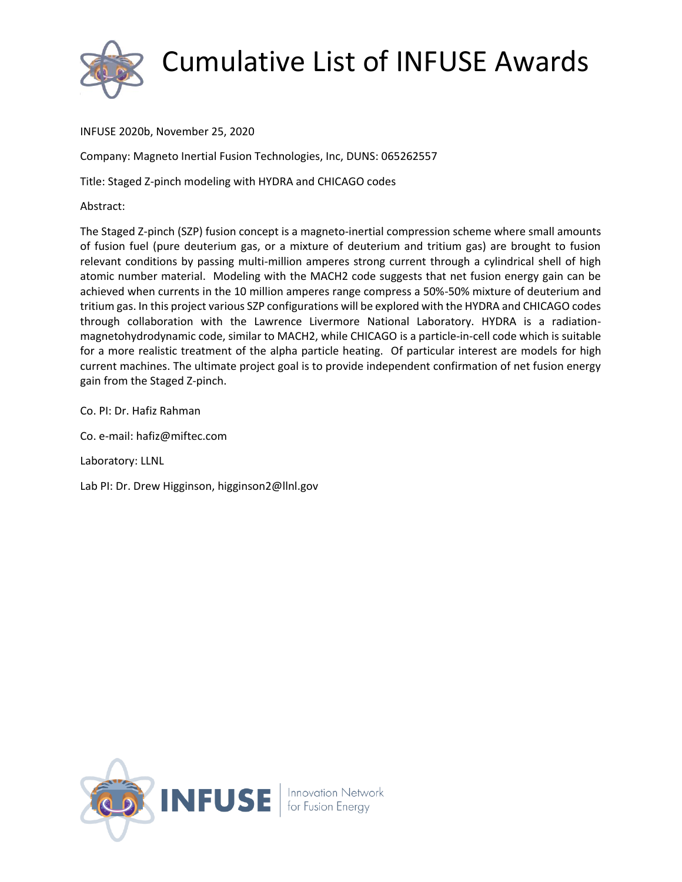

INFUSE 2020b, November 25, 2020

Company: Magneto Inertial Fusion Technologies, Inc, DUNS: 065262557

Title: Staged Z-pinch modeling with HYDRA and CHICAGO codes

Abstract:

The Staged Z-pinch (SZP) fusion concept is a magneto-inertial compression scheme where small amounts of fusion fuel (pure deuterium gas, or a mixture of deuterium and tritium gas) are brought to fusion relevant conditions by passing multi-million amperes strong current through a cylindrical shell of high atomic number material. Modeling with the MACH2 code suggests that net fusion energy gain can be achieved when currents in the 10 million amperes range compress a 50%-50% mixture of deuterium and tritium gas. In this project various SZP configurations will be explored with the HYDRA and CHICAGO codes through collaboration with the Lawrence Livermore National Laboratory. HYDRA is a radiationmagnetohydrodynamic code, similar to MACH2, while CHICAGO is a particle-in-cell code which is suitable for a more realistic treatment of the alpha particle heating. Of particular interest are models for high current machines. The ultimate project goal is to provide independent confirmation of net fusion energy gain from the Staged Z-pinch.

Co. PI: Dr. Hafiz Rahman

Co. e-mail: hafiz@miftec.com

Laboratory: LLNL

Lab PI: Dr. Drew Higginson, higginson2@llnl.gov

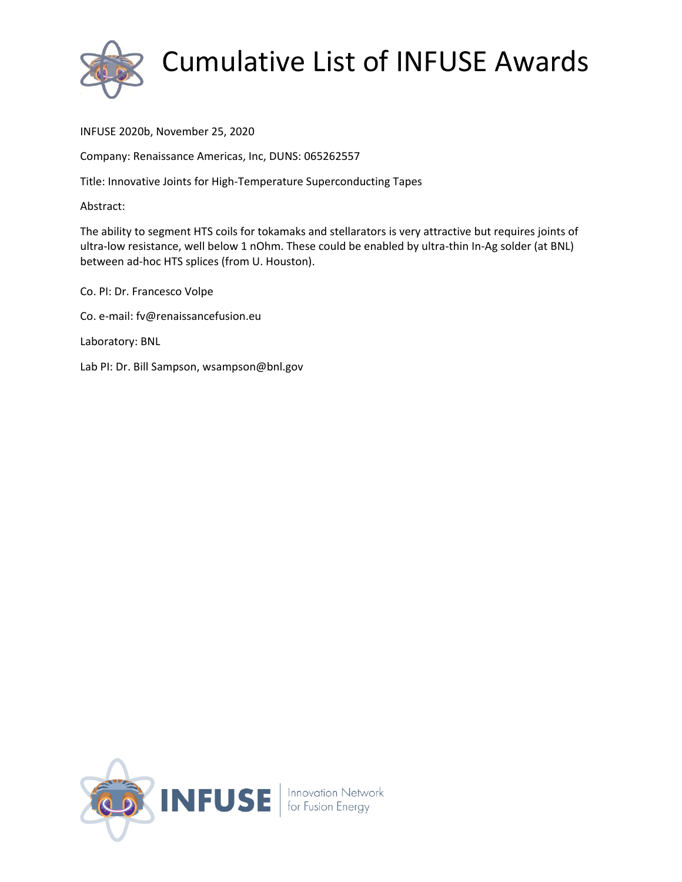

INFUSE 2020b, November 25, 2020

Company: Renaissance Americas, Inc, DUNS: 065262557

Title: Innovative Joints for High-Temperature Superconducting Tapes

Abstract:

The ability to segment HTS coils for tokamaks and stellarators is very attractive but requires joints of ultra-low resistance, well below 1 nOhm. These could be enabled by ultra-thin In-Ag solder (at BNL) between ad-hoc HTS splices (from U. Houston).

Co. PI: Dr. Francesco Volpe Co. e-mail: fv@renaissancefusion.eu Laboratory: BNL Lab PI: Dr. Bill Sampson, wsampson@bnl.gov

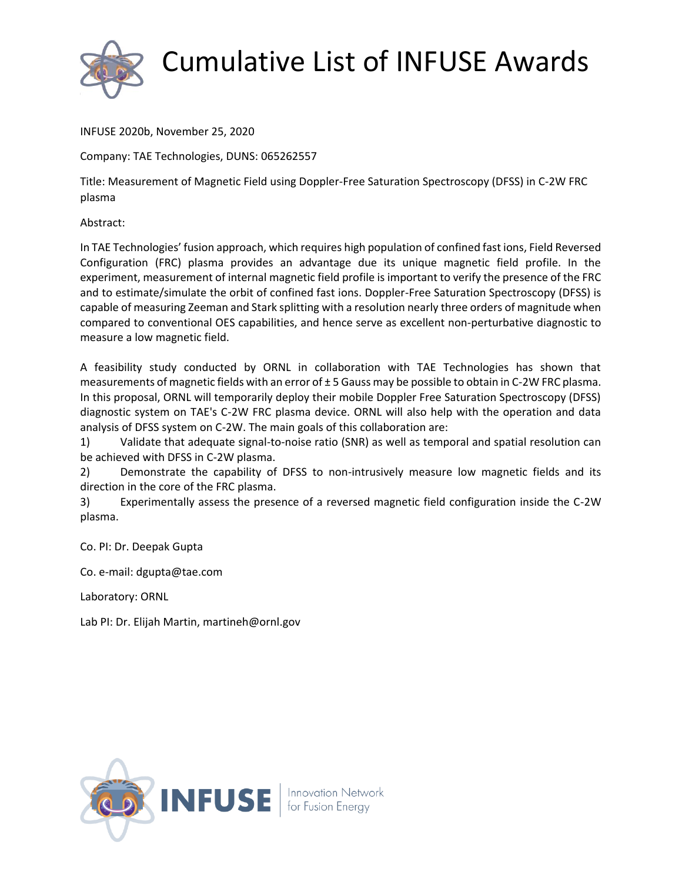

INFUSE 2020b, November 25, 2020

Company: TAE Technologies, DUNS: 065262557

Title: Measurement of Magnetic Field using Doppler-Free Saturation Spectroscopy (DFSS) in C-2W FRC plasma

Abstract:

In TAE Technologies' fusion approach, which requires high population of confined fast ions, Field Reversed Configuration (FRC) plasma provides an advantage due its unique magnetic field profile. In the experiment, measurement of internal magnetic field profile is important to verify the presence of the FRC and to estimate/simulate the orbit of confined fast ions. Doppler-Free Saturation Spectroscopy (DFSS) is capable of measuring Zeeman and Stark splitting with a resolution nearly three orders of magnitude when compared to conventional OES capabilities, and hence serve as excellent non-perturbative diagnostic to measure a low magnetic field.

A feasibility study conducted by ORNL in collaboration with TAE Technologies has shown that measurements of magnetic fields with an error of ± 5 Gauss may be possible to obtain in C-2W FRC plasma. In this proposal, ORNL will temporarily deploy their mobile Doppler Free Saturation Spectroscopy (DFSS) diagnostic system on TAE's C-2W FRC plasma device. ORNL will also help with the operation and data analysis of DFSS system on C-2W. The main goals of this collaboration are:

1) Validate that adequate signal-to-noise ratio (SNR) as well as temporal and spatial resolution can be achieved with DFSS in C-2W plasma.

2) Demonstrate the capability of DFSS to non-intrusively measure low magnetic fields and its direction in the core of the FRC plasma.

3) Experimentally assess the presence of a reversed magnetic field configuration inside the C-2W plasma.

Co. PI: Dr. Deepak Gupta

Co. e-mail: dgupta@tae.com

Laboratory: ORNL

Lab PI: Dr. Elijah Martin, martineh@ornl.gov

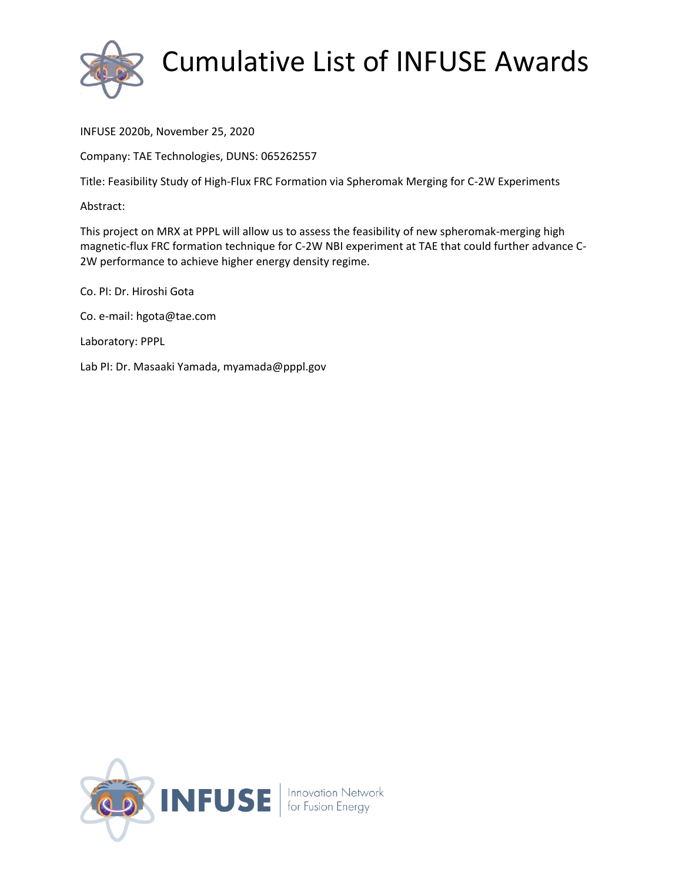

INFUSE 2020b, November 25, 2020

Company: TAE Technologies, DUNS: 065262557

Title: Feasibility Study of High-Flux FRC Formation via Spheromak Merging for C-2W Experiments

Abstract:

This project on MRX at PPPL will allow us to assess the feasibility of new spheromak-merging high magnetic-flux FRC formation technique for C-2W NBI experiment at TAE that could further advance C-2W performance to achieve higher energy density regime.

Co. PI: Dr. Hiroshi Gota Co. e-mail: hgota@tae.com Laboratory: PPPL Lab PI: Dr. Masaaki Yamada, myamada@pppl.gov

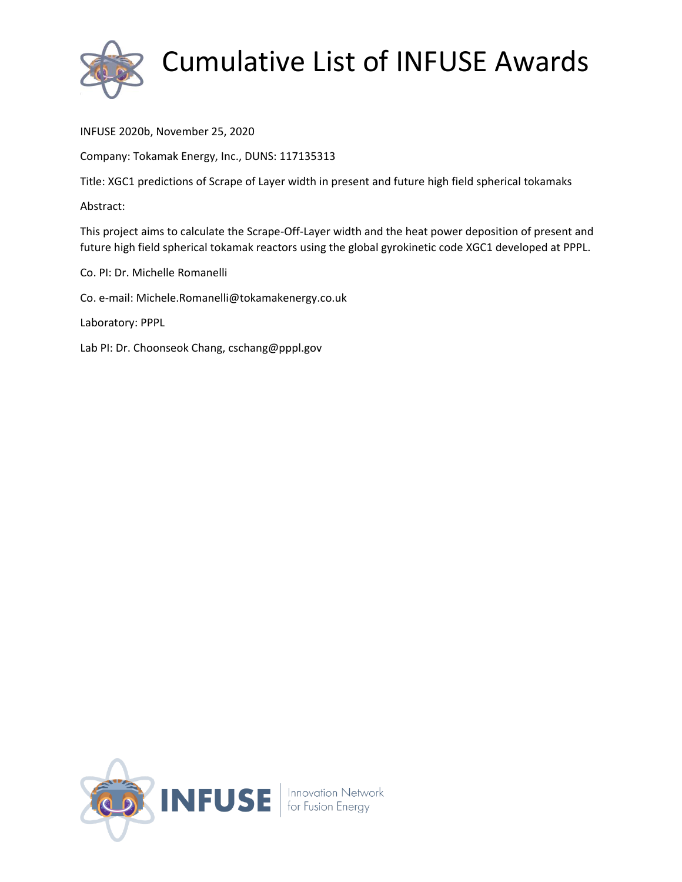

INFUSE 2020b, November 25, 2020

Company: Tokamak Energy, Inc., DUNS: 117135313

Title: XGC1 predictions of Scrape of Layer width in present and future high field spherical tokamaks

Abstract:

This project aims to calculate the Scrape-Off-Layer width and the heat power deposition of present and future high field spherical tokamak reactors using the global gyrokinetic code XGC1 developed at PPPL.

Co. PI: Dr. Michelle Romanelli

Co. e-mail: Michele.Romanelli@tokamakenergy.co.uk

Laboratory: PPPL

Lab PI: Dr. Choonseok Chang, cschang@pppl.gov

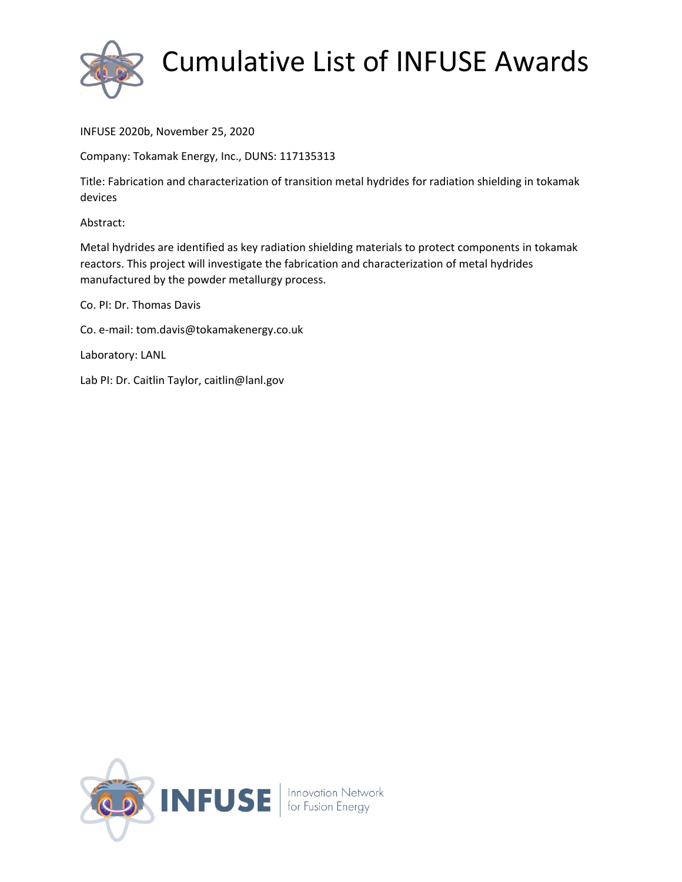

INFUSE 2020b, November 25, 2020

Company: Tokamak Energy, Inc., DUNS: 117135313

Title: Fabrication and characterization of transition metal hydrides for radiation shielding in tokamak devices

Abstract:

Metal hydrides are identified as key radiation shielding materials to protect components in tokamak reactors. This project will investigate the fabrication and characterization of metal hydrides manufactured by the powder metallurgy process.

Co. PI: Dr. Thomas Davis

Co. e-mail: tom.davis@tokamakenergy.co.uk

Laboratory: LANL

Lab PI: Dr. Caitlin Taylor, caitlin@lanl.gov

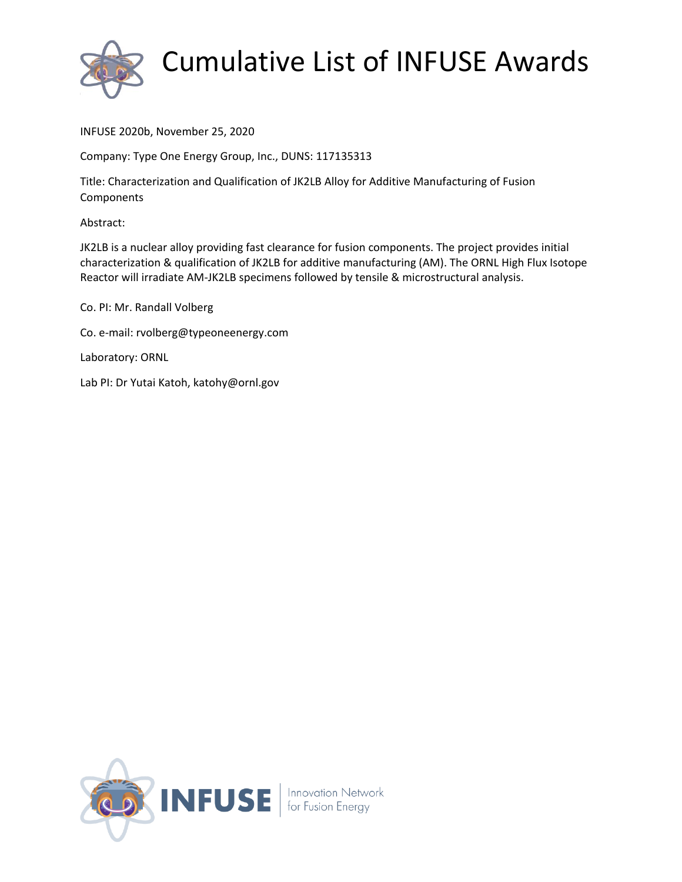

INFUSE 2020b, November 25, 2020

Company: Type One Energy Group, Inc., DUNS: 117135313

Title: Characterization and Qualification of JK2LB Alloy for Additive Manufacturing of Fusion **Components** 

Abstract:

JK2LB is a nuclear alloy providing fast clearance for fusion components. The project provides initial characterization & qualification of JK2LB for additive manufacturing (AM). The ORNL High Flux Isotope Reactor will irradiate AM-JK2LB specimens followed by tensile & microstructural analysis.

Co. PI: Mr. Randall Volberg

Co. e-mail: rvolberg@typeoneenergy.com

Laboratory: ORNL

Lab PI: Dr Yutai Katoh, katohy@ornl.gov

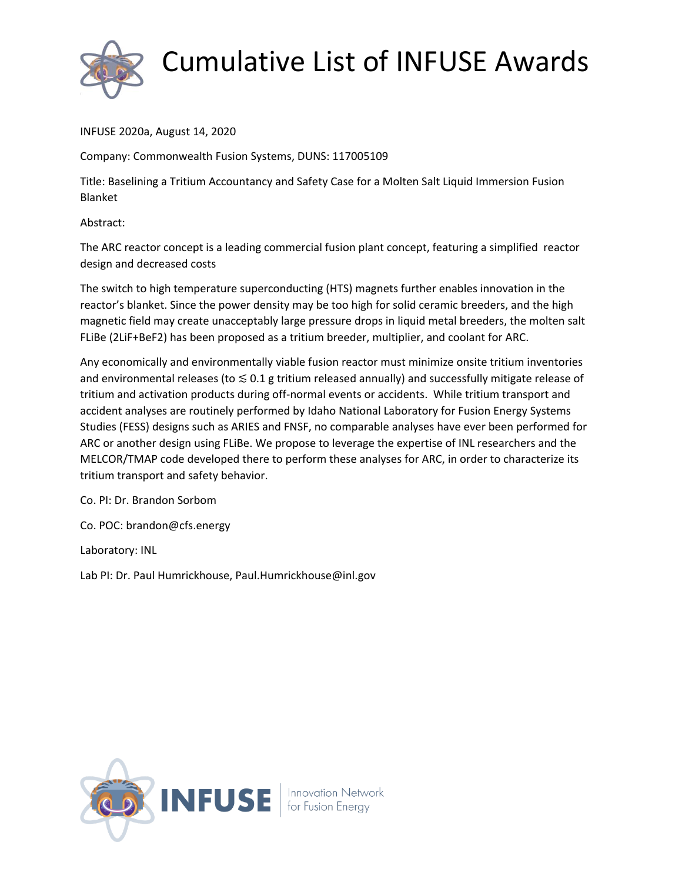

INFUSE 2020a, August 14, 2020

Company: Commonwealth Fusion Systems, DUNS: 117005109

Title: Baselining a Tritium Accountancy and Safety Case for a Molten Salt Liquid Immersion Fusion Blanket

Abstract:

The ARC reactor concept is a leading commercial fusion plant concept, featuring a simplified reactor design and decreased costs

The switch to high temperature superconducting (HTS) magnets further enables innovation in the reactor's blanket. Since the power density may be too high for solid ceramic breeders, and the high magnetic field may create unacceptably large pressure drops in liquid metal breeders, the molten salt FLiBe (2LiF+BeF2) has been proposed as a tritium breeder, multiplier, and coolant for ARC.

Any economically and environmentally viable fusion reactor must minimize onsite tritium inventories and environmental releases (to  $\leq 0.1$  g tritium released annually) and successfully mitigate release of tritium and activation products during off-normal events or accidents. While tritium transport and accident analyses are routinely performed by Idaho National Laboratory for Fusion Energy Systems Studies (FESS) designs such as ARIES and FNSF, no comparable analyses have ever been performed for ARC or another design using FLiBe. We propose to leverage the expertise of INL researchers and the MELCOR/TMAP code developed there to perform these analyses for ARC, in order to characterize its tritium transport and safety behavior.

Co. PI: Dr. Brandon Sorbom

Co. POC: brandon@cfs.energy

Laboratory: INL

Lab PI: Dr. Paul Humrickhouse, Paul.Humrickhouse@inl.gov

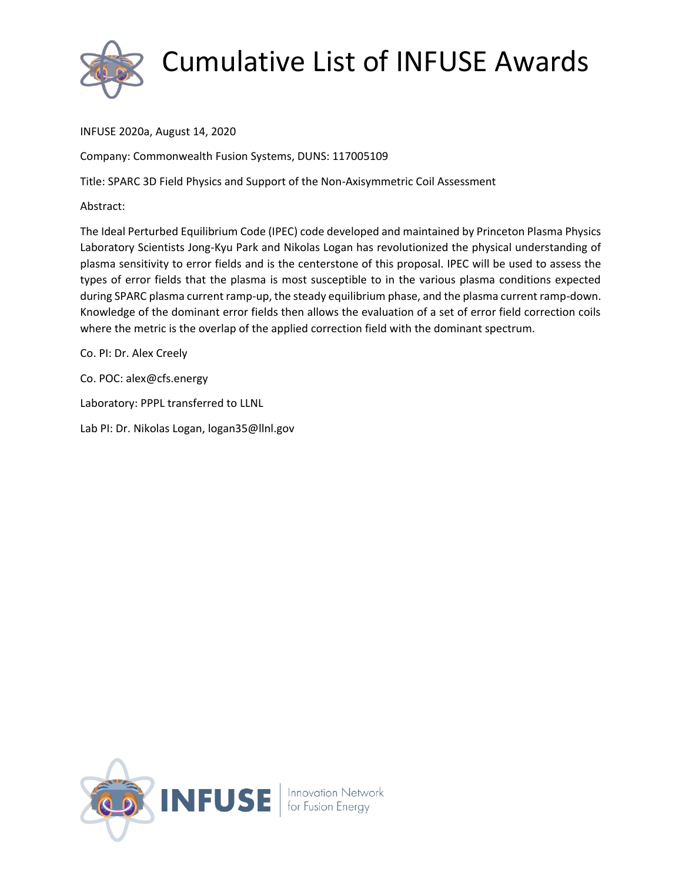

INFUSE 2020a, August 14, 2020

Company: Commonwealth Fusion Systems, DUNS: 117005109

Title: SPARC 3D Field Physics and Support of the Non-Axisymmetric Coil Assessment

Abstract:

The Ideal Perturbed Equilibrium Code (IPEC) code developed and maintained by Princeton Plasma Physics Laboratory Scientists Jong-Kyu Park and Nikolas Logan has revolutionized the physical understanding of plasma sensitivity to error fields and is the centerstone of this proposal. IPEC will be used to assess the types of error fields that the plasma is most susceptible to in the various plasma conditions expected during SPARC plasma current ramp-up, the steady equilibrium phase, and the plasma current ramp-down. Knowledge of the dominant error fields then allows the evaluation of a set of error field correction coils where the metric is the overlap of the applied correction field with the dominant spectrum.

Co. PI: Dr. Alex Creely

Co. POC: alex@cfs.energy

Laboratory: PPPL transferred to LLNL

Lab PI: Dr. Nikolas Logan, logan35@llnl.gov

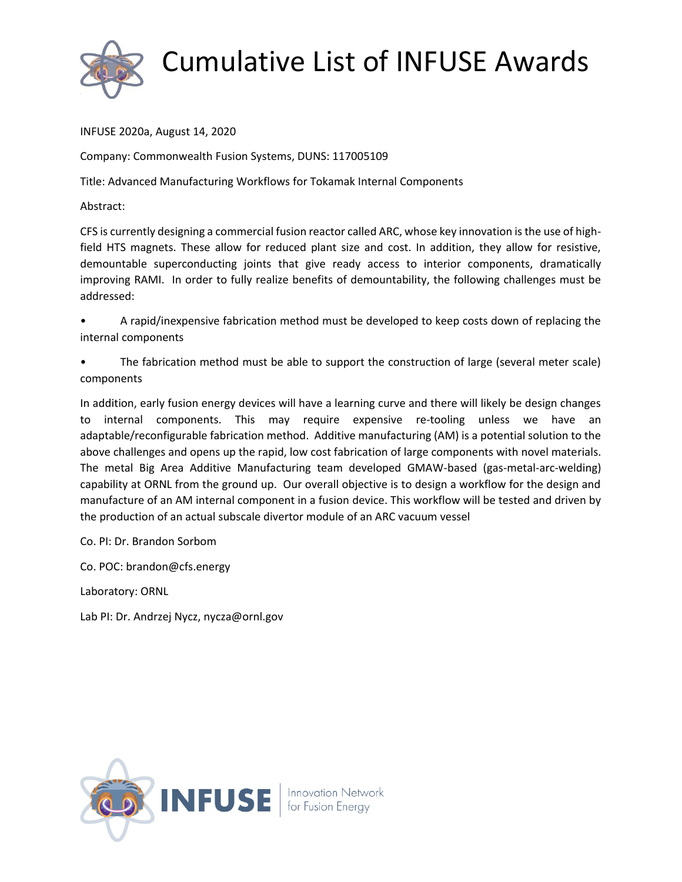

INFUSE 2020a, August 14, 2020

Company: Commonwealth Fusion Systems, DUNS: 117005109

Title: Advanced Manufacturing Workflows for Tokamak Internal Components

Abstract:

CFS is currently designing a commercial fusion reactor called ARC, whose key innovation is the use of highfield HTS magnets. These allow for reduced plant size and cost. In addition, they allow for resistive, demountable superconducting joints that give ready access to interior components, dramatically improving RAMI. In order to fully realize benefits of demountability, the following challenges must be addressed:

- A rapid/inexpensive fabrication method must be developed to keep costs down of replacing the internal components
- The fabrication method must be able to support the construction of large (several meter scale) components

In addition, early fusion energy devices will have a learning curve and there will likely be design changes to internal components. This may require expensive re-tooling unless we have an adaptable/reconfigurable fabrication method. Additive manufacturing (AM) is a potential solution to the above challenges and opens up the rapid, low cost fabrication of large components with novel materials. The metal Big Area Additive Manufacturing team developed GMAW-based (gas-metal-arc-welding) capability at ORNL from the ground up. Our overall objective is to design a workflow for the design and manufacture of an AM internal component in a fusion device. This workflow will be tested and driven by the production of an actual subscale divertor module of an ARC vacuum vessel

Co. PI: Dr. Brandon Sorbom

Co. POC: brandon@cfs.energy

Laboratory: ORNL

Lab PI: Dr. Andrzej Nycz, nycza@ornl.gov

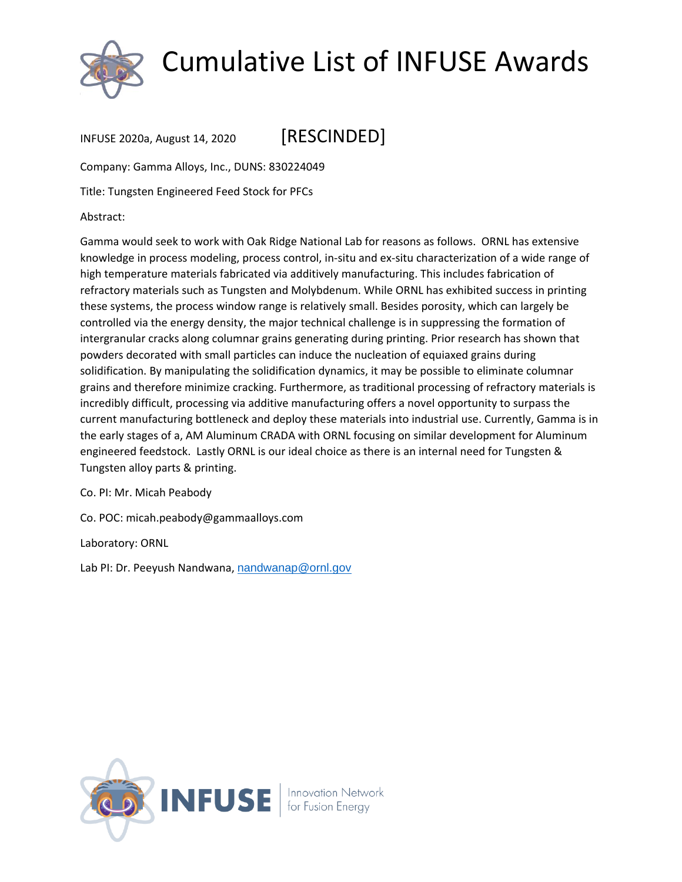

INFUSE 2020a, August 14, 2020 [RESCINDED]

Company: Gamma Alloys, Inc., DUNS: 830224049

Title: Tungsten Engineered Feed Stock for PFCs

Abstract:

Gamma would seek to work with Oak Ridge National Lab for reasons as follows. ORNL has extensive knowledge in process modeling, process control, in-situ and ex-situ characterization of a wide range of high temperature materials fabricated via additively manufacturing. This includes fabrication of refractory materials such as Tungsten and Molybdenum. While ORNL has exhibited success in printing these systems, the process window range is relatively small. Besides porosity, which can largely be controlled via the energy density, the major technical challenge is in suppressing the formation of intergranular cracks along columnar grains generating during printing. Prior research has shown that powders decorated with small particles can induce the nucleation of equiaxed grains during solidification. By manipulating the solidification dynamics, it may be possible to eliminate columnar grains and therefore minimize cracking. Furthermore, as traditional processing of refractory materials is incredibly difficult, processing via additive manufacturing offers a novel opportunity to surpass the current manufacturing bottleneck and deploy these materials into industrial use. Currently, Gamma is in the early stages of a, AM Aluminum CRADA with ORNL focusing on similar development for Aluminum engineered feedstock. Lastly ORNL is our ideal choice as there is an internal need for Tungsten & Tungsten alloy parts & printing.

Co. PI: Mr. Micah Peabody

Co. POC: micah.peabody@gammaalloys.com

Laboratory: ORNL

Lab PI: Dr. Peeyush Nandwana, [nandwanap@ornl.gov](mailto:nandwanap@ornl.gov)

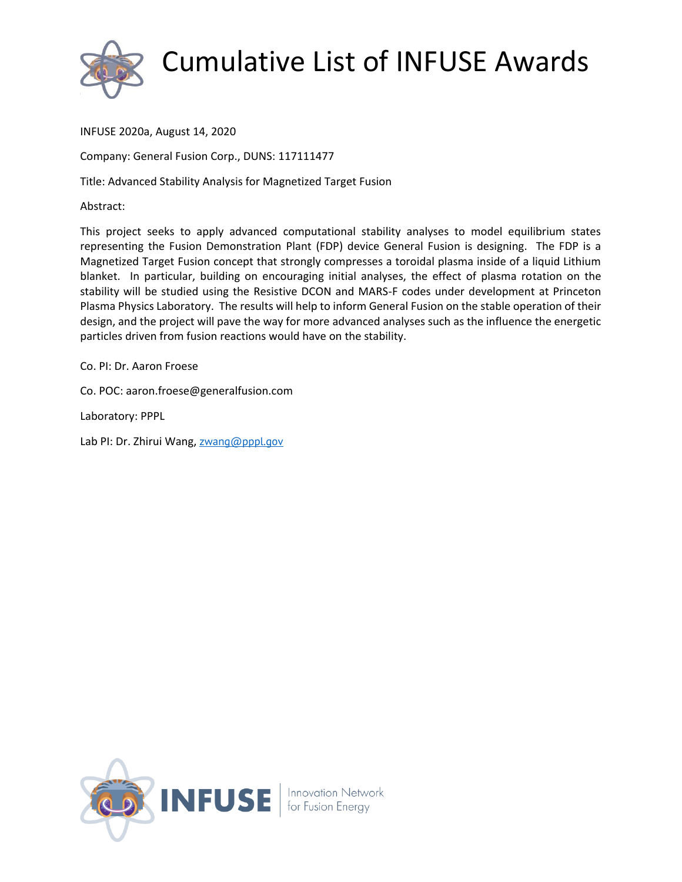

INFUSE 2020a, August 14, 2020

Company: General Fusion Corp., DUNS: 117111477

Title: Advanced Stability Analysis for Magnetized Target Fusion

Abstract:

This project seeks to apply advanced computational stability analyses to model equilibrium states representing the Fusion Demonstration Plant (FDP) device General Fusion is designing. The FDP is a Magnetized Target Fusion concept that strongly compresses a toroidal plasma inside of a liquid Lithium blanket. In particular, building on encouraging initial analyses, the effect of plasma rotation on the stability will be studied using the Resistive DCON and MARS-F codes under development at Princeton Plasma Physics Laboratory. The results will help to inform General Fusion on the stable operation of their design, and the project will pave the way for more advanced analyses such as the influence the energetic particles driven from fusion reactions would have on the stability.

Co. PI: Dr. Aaron Froese

Co. POC: aaron.froese@generalfusion.com

Laboratory: PPPL

Lab PI: Dr. Zhirui Wang, [zwang@pppl.gov](mailto:zwang@pppl.gov)

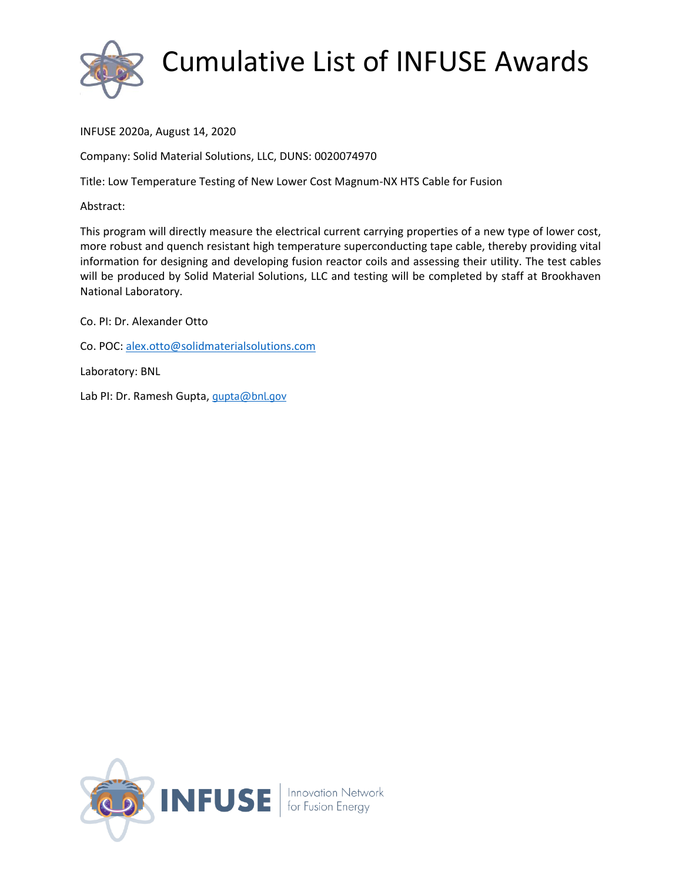

INFUSE 2020a, August 14, 2020

Company: Solid Material Solutions, LLC, DUNS: 0020074970

Title: Low Temperature Testing of New Lower Cost Magnum-NX HTS Cable for Fusion

Abstract:

This program will directly measure the electrical current carrying properties of a new type of lower cost, more robust and quench resistant high temperature superconducting tape cable, thereby providing vital information for designing and developing fusion reactor coils and assessing their utility. The test cables will be produced by Solid Material Solutions, LLC and testing will be completed by staff at Brookhaven National Laboratory.

Co. PI: Dr. Alexander Otto

Co. POC: [alex.otto@solidmaterialsolutions.com](mailto:alex.otto@solidmaterialsolutions.com)

Laboratory: BNL

Lab PI: Dr. Ramesh Gupta, *[gupta@bnl.gov](mailto:gupta@bnl.gov)* 

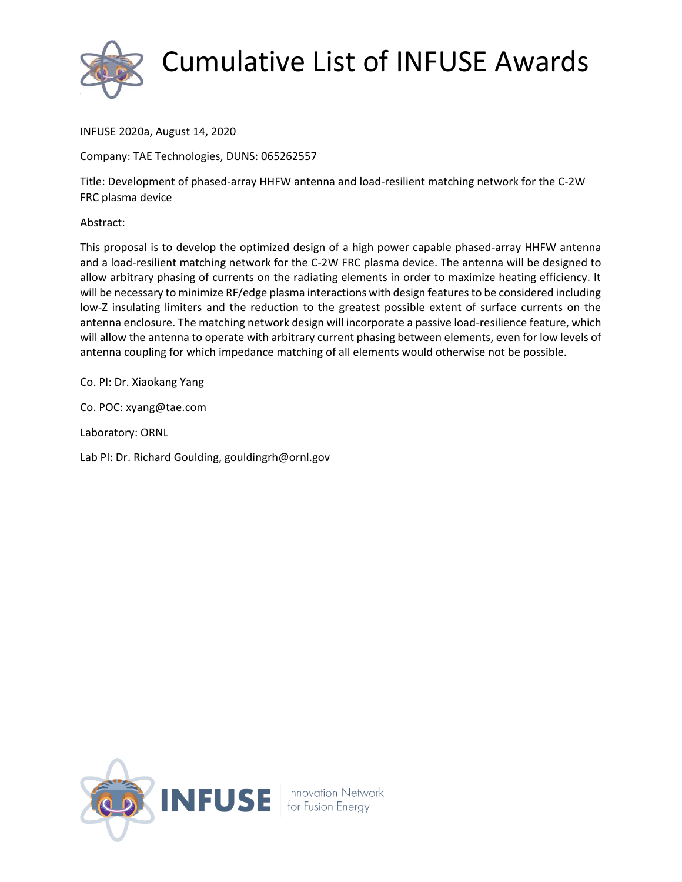

INFUSE 2020a, August 14, 2020

Company: TAE Technologies, DUNS: 065262557

Title: Development of phased-array HHFW antenna and load-resilient matching network for the C-2W FRC plasma device

Abstract:

This proposal is to develop the optimized design of a high power capable phased-array HHFW antenna and a load-resilient matching network for the C-2W FRC plasma device. The antenna will be designed to allow arbitrary phasing of currents on the radiating elements in order to maximize heating efficiency. It will be necessary to minimize RF/edge plasma interactions with design features to be considered including low-Z insulating limiters and the reduction to the greatest possible extent of surface currents on the antenna enclosure. The matching network design will incorporate a passive load-resilience feature, which will allow the antenna to operate with arbitrary current phasing between elements, even for low levels of antenna coupling for which impedance matching of all elements would otherwise not be possible.

Co. PI: Dr. Xiaokang Yang

Co. POC: xyang@tae.com

Laboratory: ORNL

Lab PI: Dr. Richard Goulding, gouldingrh@ornl.gov

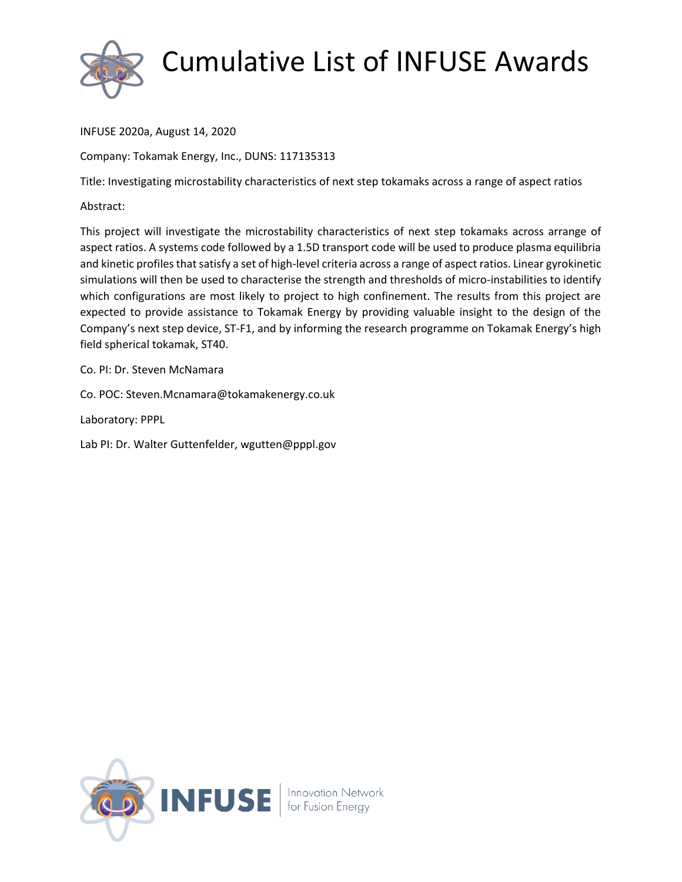

INFUSE 2020a, August 14, 2020

Company: Tokamak Energy, Inc., DUNS: 117135313

Title: Investigating microstability characteristics of next step tokamaks across a range of aspect ratios

Abstract:

This project will investigate the microstability characteristics of next step tokamaks across arrange of aspect ratios. A systems code followed by a 1.5D transport code will be used to produce plasma equilibria and kinetic profiles that satisfy a set of high-level criteria across a range of aspect ratios. Linear gyrokinetic simulations will then be used to characterise the strength and thresholds of micro-instabilities to identify which configurations are most likely to project to high confinement. The results from this project are expected to provide assistance to Tokamak Energy by providing valuable insight to the design of the Company's next step device, ST-F1, and by informing the research programme on Tokamak Energy's high field spherical tokamak, ST40.

Co. PI: Dr. Steven McNamara

Co. POC: Steven.Mcnamara@tokamakenergy.co.uk

Laboratory: PPPL

Lab PI: Dr. Walter Guttenfelder, wgutten@pppl.gov

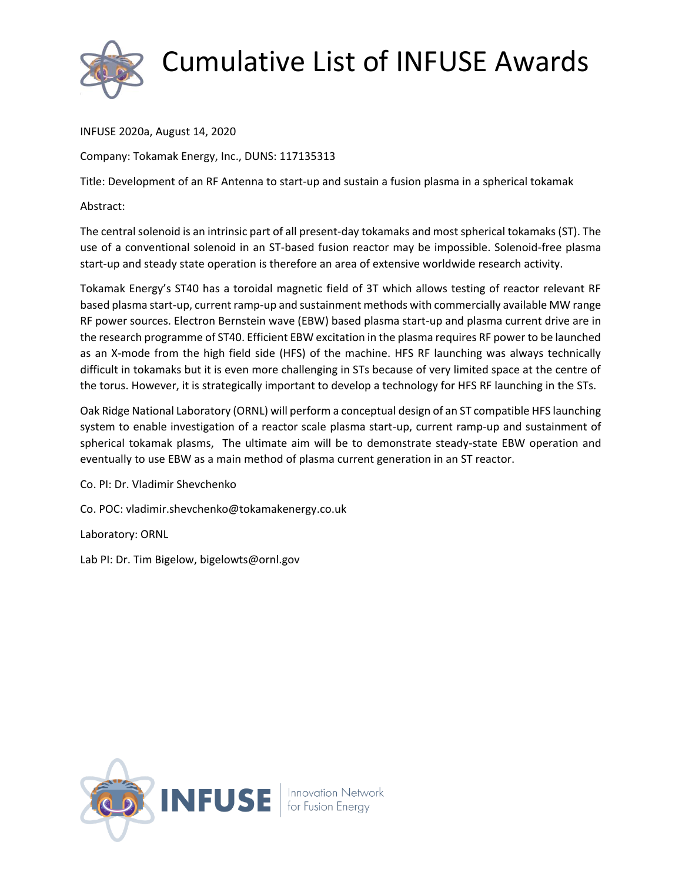

INFUSE 2020a, August 14, 2020

Company: Tokamak Energy, Inc., DUNS: 117135313

Title: Development of an RF Antenna to start-up and sustain a fusion plasma in a spherical tokamak

Abstract:

The central solenoid is an intrinsic part of all present-day tokamaks and most spherical tokamaks (ST). The use of a conventional solenoid in an ST-based fusion reactor may be impossible. Solenoid-free plasma start-up and steady state operation is therefore an area of extensive worldwide research activity.

Tokamak Energy's ST40 has a toroidal magnetic field of 3T which allows testing of reactor relevant RF based plasma start-up, current ramp-up and sustainment methods with commercially available MW range RF power sources. Electron Bernstein wave (EBW) based plasma start-up and plasma current drive are in the research programme of ST40. Efficient EBW excitation in the plasma requires RF power to be launched as an X-mode from the high field side (HFS) of the machine. HFS RF launching was always technically difficult in tokamaks but it is even more challenging in STs because of very limited space at the centre of the torus. However, it is strategically important to develop a technology for HFS RF launching in the STs.

Oak Ridge National Laboratory (ORNL) will perform a conceptual design of an ST compatible HFS launching system to enable investigation of a reactor scale plasma start-up, current ramp-up and sustainment of spherical tokamak plasms, The ultimate aim will be to demonstrate steady-state EBW operation and eventually to use EBW as a main method of plasma current generation in an ST reactor.

Co. PI: Dr. Vladimir Shevchenko

Co. POC: vladimir.shevchenko@tokamakenergy.co.uk

Laboratory: ORNL

Lab PI: Dr. Tim Bigelow, bigelowts@ornl.gov

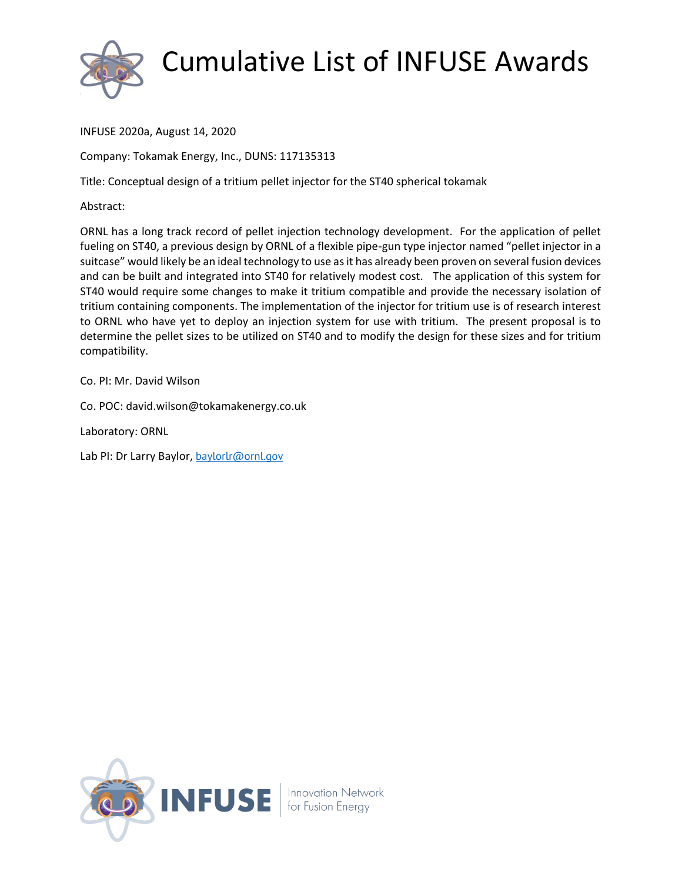

INFUSE 2020a, August 14, 2020

Company: Tokamak Energy, Inc., DUNS: 117135313

Title: Conceptual design of a tritium pellet injector for the ST40 spherical tokamak

Abstract:

ORNL has a long track record of pellet injection technology development. For the application of pellet fueling on ST40, a previous design by ORNL of a flexible pipe-gun type injector named "pellet injector in a suitcase" would likely be an ideal technology to use as it has already been proven on several fusion devices and can be built and integrated into ST40 for relatively modest cost. The application of this system for ST40 would require some changes to make it tritium compatible and provide the necessary isolation of tritium containing components. The implementation of the injector for tritium use is of research interest to ORNL who have yet to deploy an injection system for use with tritium. The present proposal is to determine the pellet sizes to be utilized on ST40 and to modify the design for these sizes and for tritium compatibility.

Co. PI: Mr. David Wilson

Co. POC: david.wilson@tokamakenergy.co.uk

Laboratory: ORNL

Lab PI: Dr Larry Baylor, [baylorlr@ornl.gov](mailto:baylorlr@ornl.gov)

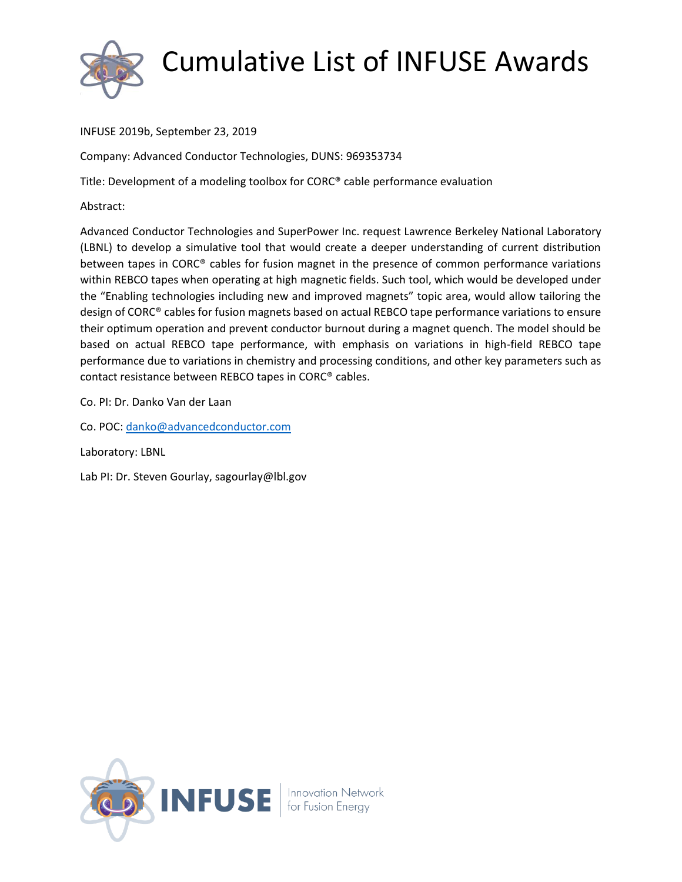

INFUSE 2019b, September 23, 2019

Company: Advanced Conductor Technologies, DUNS: 969353734

Title: Development of a modeling toolbox for CORC® cable performance evaluation

Abstract:

Advanced Conductor Technologies and SuperPower Inc. request Lawrence Berkeley National Laboratory (LBNL) to develop a simulative tool that would create a deeper understanding of current distribution between tapes in CORC® cables for fusion magnet in the presence of common performance variations within REBCO tapes when operating at high magnetic fields. Such tool, which would be developed under the "Enabling technologies including new and improved magnets" topic area, would allow tailoring the design of CORC® cables for fusion magnets based on actual REBCO tape performance variations to ensure their optimum operation and prevent conductor burnout during a magnet quench. The model should be based on actual REBCO tape performance, with emphasis on variations in high-field REBCO tape performance due to variations in chemistry and processing conditions, and other key parameters such as contact resistance between REBCO tapes in CORC® cables.

Co. PI: Dr. Danko Van der Laan

Co. POC: [danko@advancedconductor.com](mailto:danko@advancedconductor.com)

Laboratory: LBNL

Lab PI: Dr. Steven Gourlay, sagourlay@lbl.gov

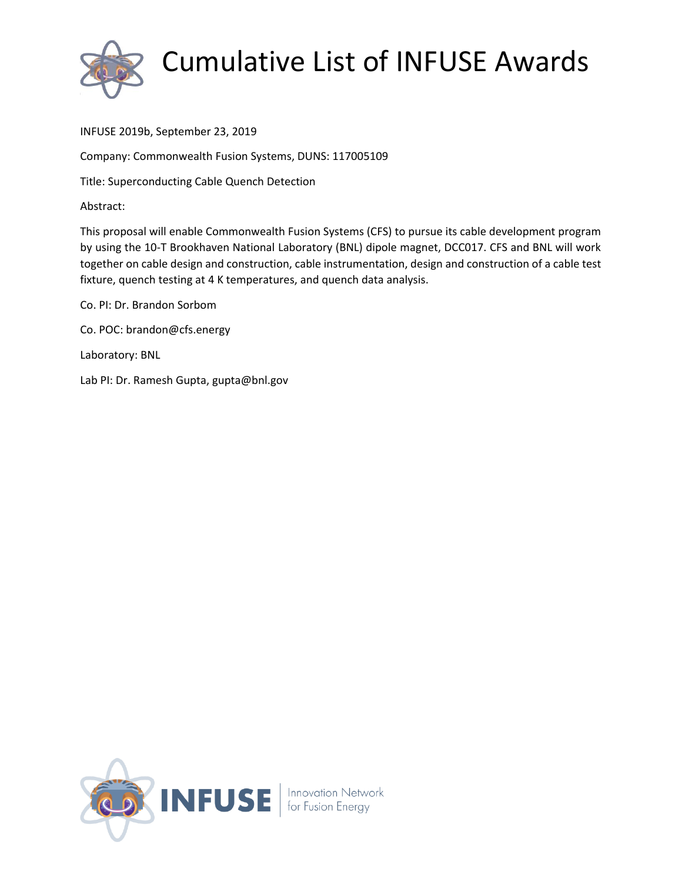

INFUSE 2019b, September 23, 2019

Company: Commonwealth Fusion Systems, DUNS: 117005109

Title: Superconducting Cable Quench Detection

Abstract:

This proposal will enable Commonwealth Fusion Systems (CFS) to pursue its cable development program by using the 10-T Brookhaven National Laboratory (BNL) dipole magnet, DCC017. CFS and BNL will work together on cable design and construction, cable instrumentation, design and construction of a cable test fixture, quench testing at 4 K temperatures, and quench data analysis.

Co. PI: Dr. Brandon Sorbom Co. POC: brandon@cfs.energy Laboratory: BNL Lab PI: Dr. Ramesh Gupta, gupta@bnl.gov

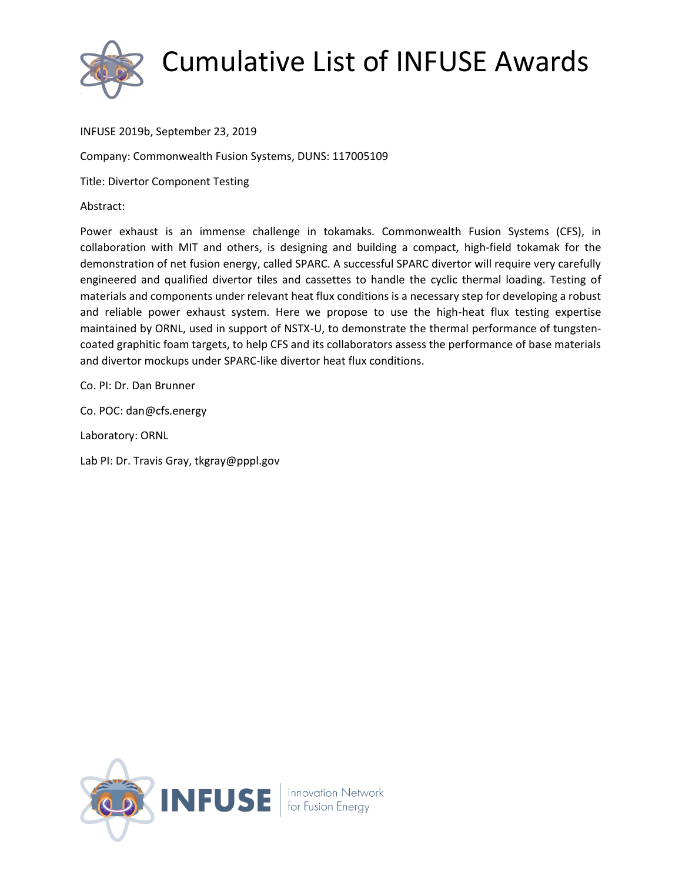

#### INFUSE 2019b, September 23, 2019

Company: Commonwealth Fusion Systems, DUNS: 117005109

Title: Divertor Component Testing

Abstract:

Power exhaust is an immense challenge in tokamaks. Commonwealth Fusion Systems (CFS), in collaboration with MIT and others, is designing and building a compact, high-field tokamak for the demonstration of net fusion energy, called SPARC. A successful SPARC divertor will require very carefully engineered and qualified divertor tiles and cassettes to handle the cyclic thermal loading. Testing of materials and components under relevant heat flux conditions is a necessary step for developing a robust and reliable power exhaust system. Here we propose to use the high-heat flux testing expertise maintained by ORNL, used in support of NSTX-U, to demonstrate the thermal performance of tungstencoated graphitic foam targets, to help CFS and its collaborators assess the performance of base materials and divertor mockups under SPARC-like divertor heat flux conditions.

Co. PI: Dr. Dan Brunner

Co. POC: dan@cfs.energy

Laboratory: ORNL

Lab PI: Dr. Travis Gray, tkgray@pppl.gov

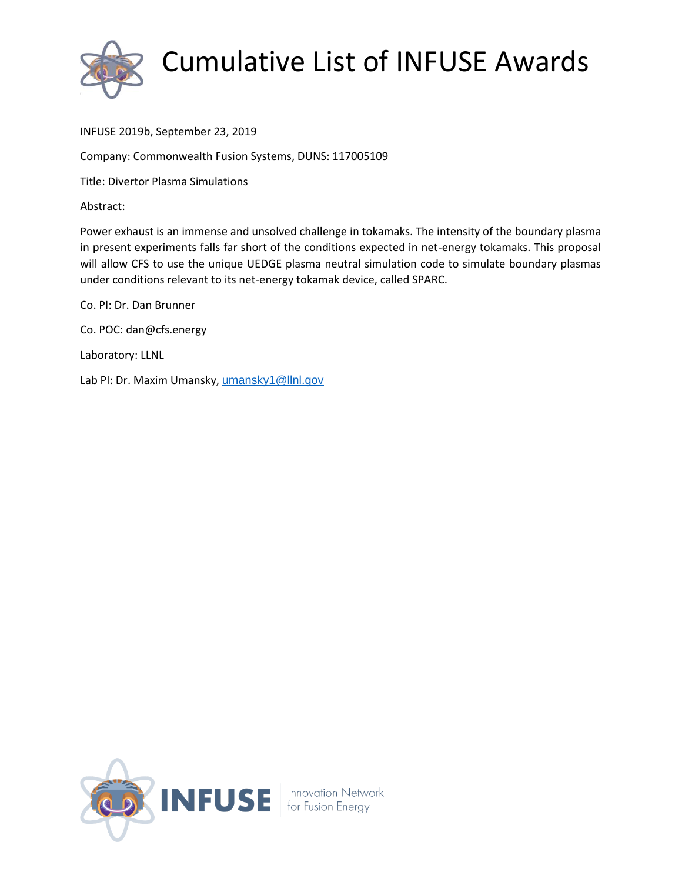

#### INFUSE 2019b, September 23, 2019

Company: Commonwealth Fusion Systems, DUNS: 117005109

Title: Divertor Plasma Simulations

Abstract:

Power exhaust is an immense and unsolved challenge in tokamaks. The intensity of the boundary plasma in present experiments falls far short of the conditions expected in net-energy tokamaks. This proposal will allow CFS to use the unique UEDGE plasma neutral simulation code to simulate boundary plasmas under conditions relevant to its net-energy tokamak device, called SPARC.

Co. PI: Dr. Dan Brunner Co. POC: dan@cfs.energy

Laboratory: LLNL

Lab PI: Dr. Maxim Umansky, [umansky1@llnl.gov](mailto:umansky1@llnl.gov)

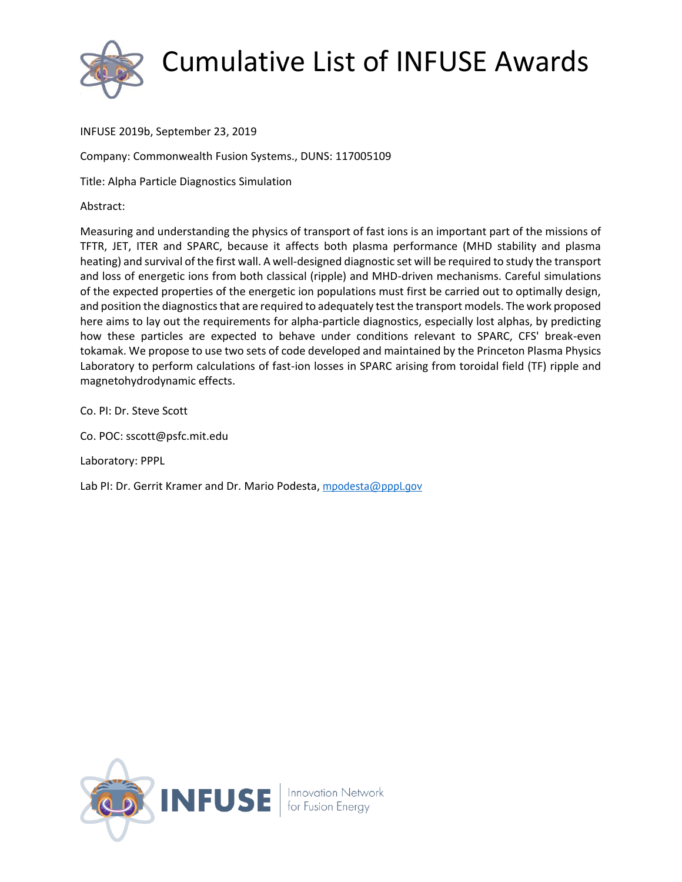

INFUSE 2019b, September 23, 2019

Company: Commonwealth Fusion Systems., DUNS: 117005109

Title: Alpha Particle Diagnostics Simulation

Abstract:

Measuring and understanding the physics of transport of fast ions is an important part of the missions of TFTR, JET, ITER and SPARC, because it affects both plasma performance (MHD stability and plasma heating) and survival of the first wall. A well-designed diagnostic set will be required to study the transport and loss of energetic ions from both classical (ripple) and MHD-driven mechanisms. Careful simulations of the expected properties of the energetic ion populations must first be carried out to optimally design, and position the diagnostics that are required to adequately test the transport models. The work proposed here aims to lay out the requirements for alpha-particle diagnostics, especially lost alphas, by predicting how these particles are expected to behave under conditions relevant to SPARC, CFS' break-even tokamak. We propose to use two sets of code developed and maintained by the Princeton Plasma Physics Laboratory to perform calculations of fast-ion losses in SPARC arising from toroidal field (TF) ripple and magnetohydrodynamic effects.

Co. PI: Dr. Steve Scott

Co. POC: sscott@psfc.mit.edu

Laboratory: PPPL

Lab PI: Dr. Gerrit Kramer and Dr. Mario Podesta, [mpodesta@pppl.gov](mailto:mpodesta@pppl.gov)

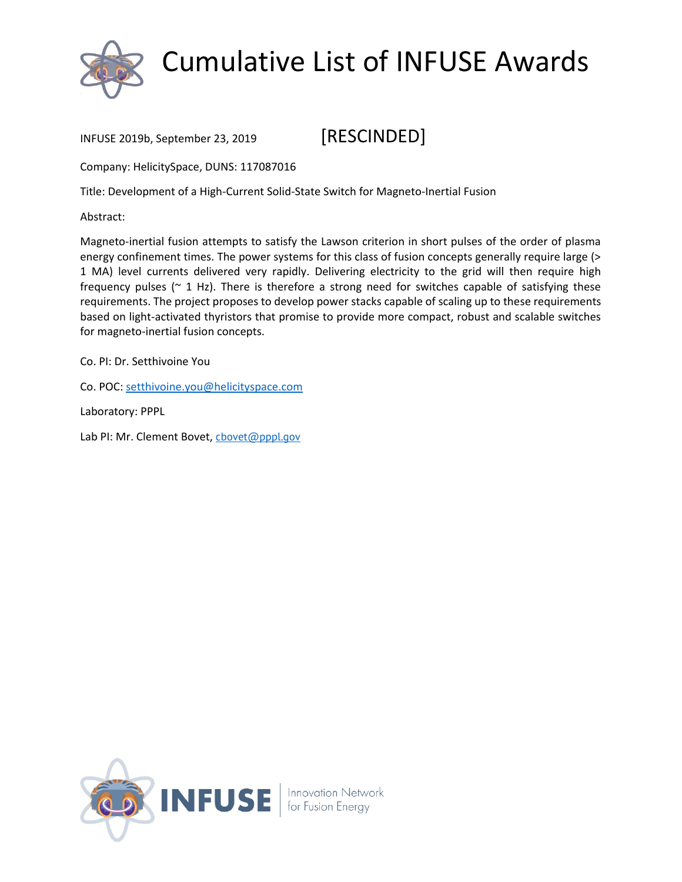

#### INFUSE 2019b, September 23, 2019 [RESCINDED]

Company: HelicitySpace, DUNS: 117087016

Title: Development of a High-Current Solid-State Switch for Magneto-Inertial Fusion

Abstract:

Magneto-inertial fusion attempts to satisfy the Lawson criterion in short pulses of the order of plasma energy confinement times. The power systems for this class of fusion concepts generally require large (> 1 MA) level currents delivered very rapidly. Delivering electricity to the grid will then require high frequency pulses ( $\sim$  1 Hz). There is therefore a strong need for switches capable of satisfying these requirements. The project proposes to develop power stacks capable of scaling up to these requirements based on light-activated thyristors that promise to provide more compact, robust and scalable switches for magneto-inertial fusion concepts.

Co. PI: Dr. Setthivoine You

Co. POC: [setthivoine.you@helicityspace.com](mailto:setthivoine.you@helicityspace.com)

Laboratory: PPPL

Lab PI: Mr. Clement Bovet, [cbovet@pppl.gov](mailto:cbovet@pppl.gov)

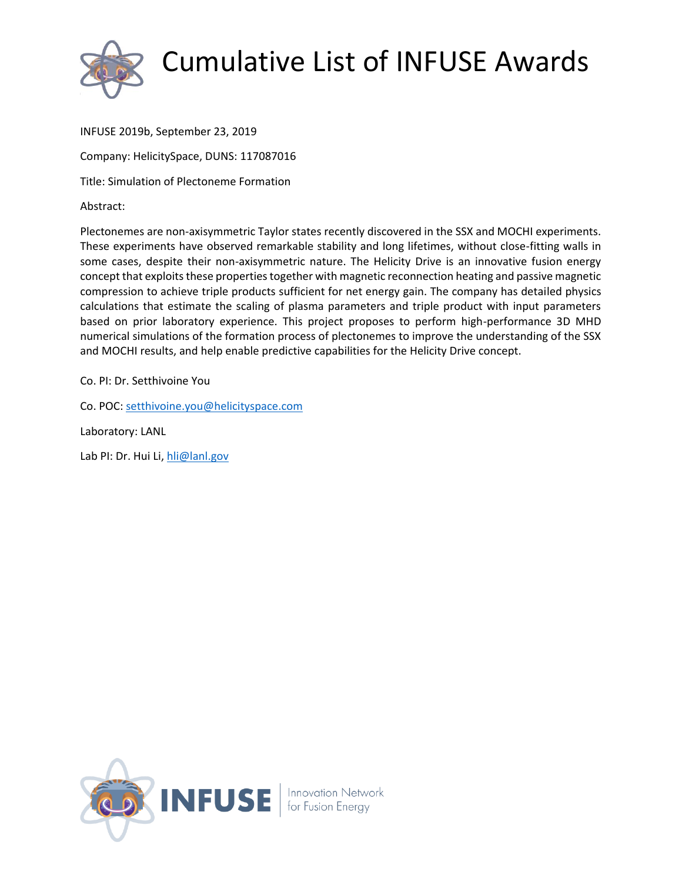

INFUSE 2019b, September 23, 2019

Company: HelicitySpace, DUNS: 117087016

Title: Simulation of Plectoneme Formation

Abstract:

Plectonemes are non-axisymmetric Taylor states recently discovered in the SSX and MOCHI experiments. These experiments have observed remarkable stability and long lifetimes, without close-fitting walls in some cases, despite their non-axisymmetric nature. The Helicity Drive is an innovative fusion energy concept that exploits these properties together with magnetic reconnection heating and passive magnetic compression to achieve triple products sufficient for net energy gain. The company has detailed physics calculations that estimate the scaling of plasma parameters and triple product with input parameters based on prior laboratory experience. This project proposes to perform high-performance 3D MHD numerical simulations of the formation process of plectonemes to improve the understanding of the SSX and MOCHI results, and help enable predictive capabilities for the Helicity Drive concept.

Co. PI: Dr. Setthivoine You

Co. POC: [setthivoine.you@helicityspace.com](mailto:setthivoine.you@helicityspace.com)

Laboratory: LANL

Lab PI: Dr. Hui Li, [hli@lanl.gov](mailto:hli@lanl.gov)

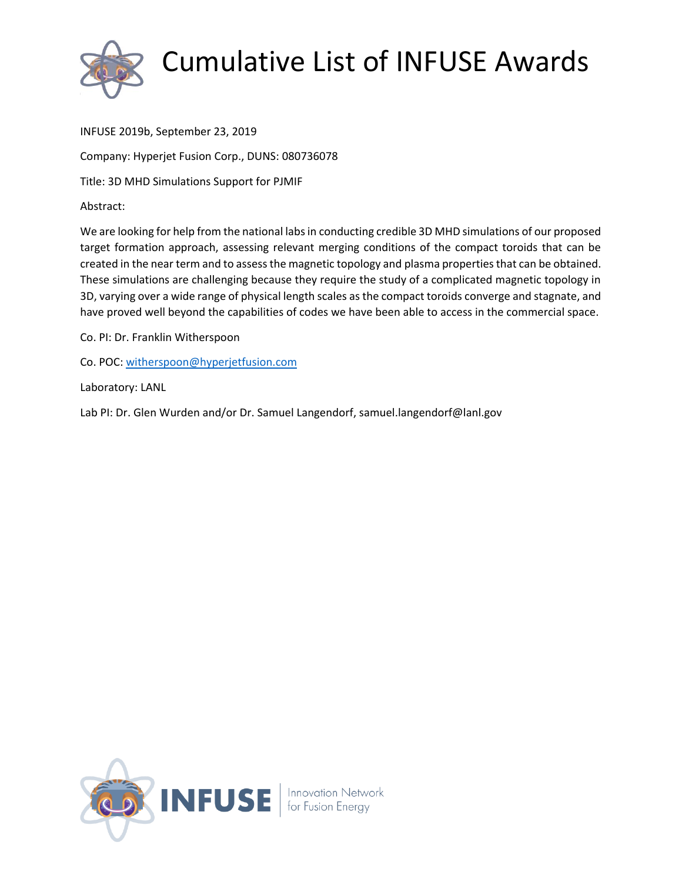

INFUSE 2019b, September 23, 2019 Company: Hyperjet Fusion Corp., DUNS: 080736078 Title: 3D MHD Simulations Support for PJMIF

Abstract:

We are looking for help from the national labs in conducting credible 3D MHD simulations of our proposed target formation approach, assessing relevant merging conditions of the compact toroids that can be created in the near term and to assess the magnetic topology and plasma properties that can be obtained. These simulations are challenging because they require the study of a complicated magnetic topology in 3D, varying over a wide range of physical length scales as the compact toroids converge and stagnate, and have proved well beyond the capabilities of codes we have been able to access in the commercial space.

Co. PI: Dr. Franklin Witherspoon

Co. POC: [witherspoon@hyperjetfusion.com](mailto:witherspoon@hyperjetfusion.com)

Laboratory: LANL

Lab PI: Dr. Glen Wurden and/or Dr. Samuel Langendorf, samuel.langendorf@lanl.gov

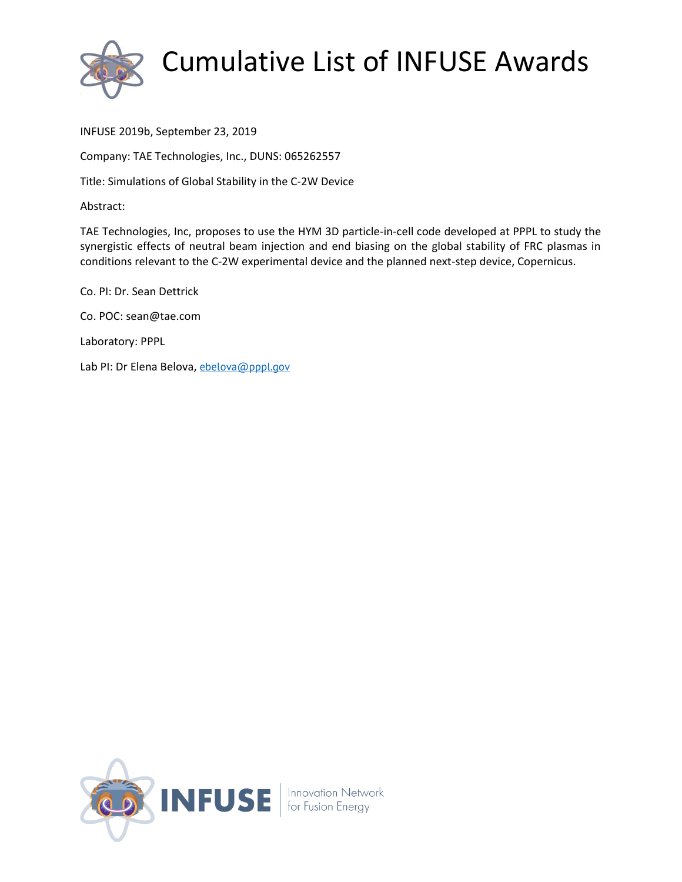

INFUSE 2019b, September 23, 2019

Company: TAE Technologies, Inc., DUNS: 065262557

Title: Simulations of Global Stability in the C-2W Device

Abstract:

TAE Technologies, Inc, proposes to use the HYM 3D particle-in-cell code developed at PPPL to study the synergistic effects of neutral beam injection and end biasing on the global stability of FRC plasmas in conditions relevant to the C-2W experimental device and the planned next-step device, Copernicus.

Co. PI: Dr. Sean Dettrick Co. POC: sean@tae.com Laboratory: PPPL Lab PI: Dr Elena Belova, [ebelova@pppl.gov](mailto:ebelova@pppl.gov)

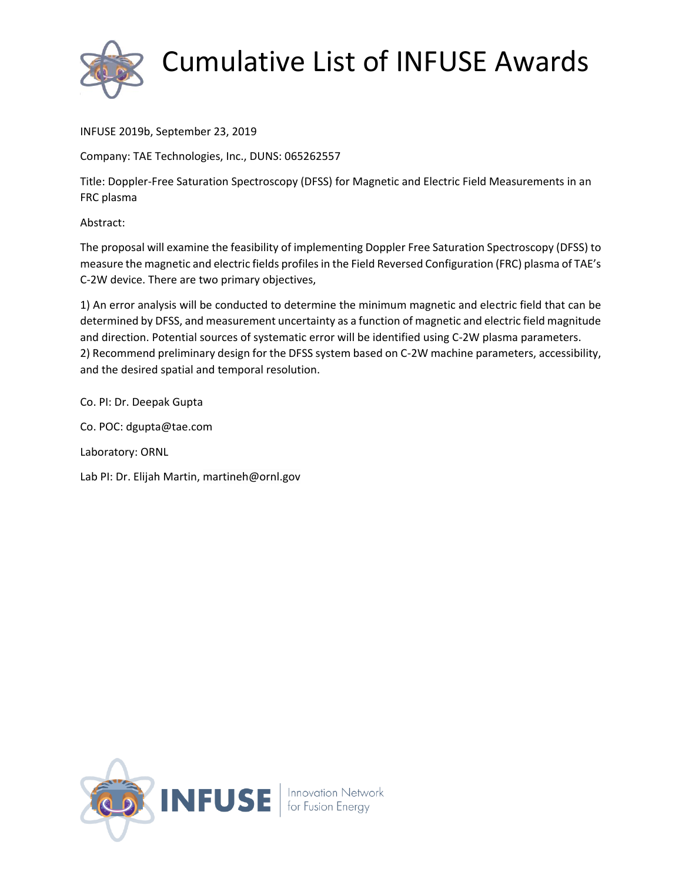

INFUSE 2019b, September 23, 2019

Company: TAE Technologies, Inc., DUNS: 065262557

Title: Doppler-Free Saturation Spectroscopy (DFSS) for Magnetic and Electric Field Measurements in an FRC plasma

Abstract:

The proposal will examine the feasibility of implementing Doppler Free Saturation Spectroscopy (DFSS) to measure the magnetic and electric fields profiles in the Field Reversed Configuration (FRC) plasma of TAE's C-2W device. There are two primary objectives,

1) An error analysis will be conducted to determine the minimum magnetic and electric field that can be determined by DFSS, and measurement uncertainty as a function of magnetic and electric field magnitude and direction. Potential sources of systematic error will be identified using C-2W plasma parameters. 2) Recommend preliminary design for the DFSS system based on C-2W machine parameters, accessibility, and the desired spatial and temporal resolution.

Co. PI: Dr. Deepak Gupta

Co. POC: dgupta@tae.com

Laboratory: ORNL

Lab PI: Dr. Elijah Martin, martineh@ornl.gov